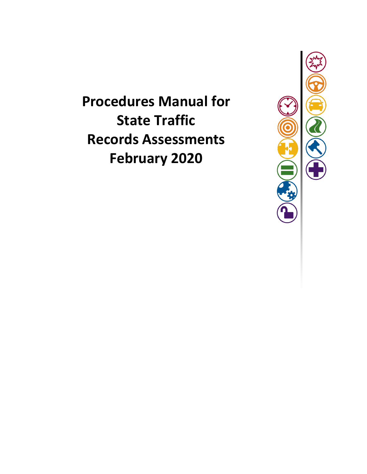**Procedures Manual for State Traffic Records Assessments February 2020**

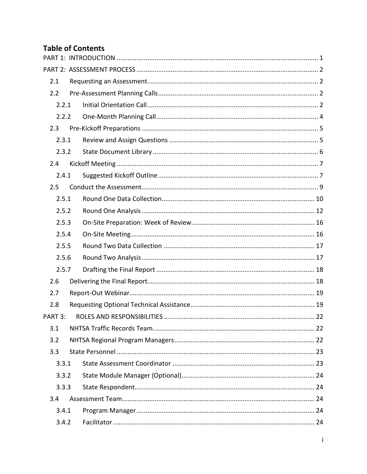# **Table of Contents**

| 2.1     |       |  |  |
|---------|-------|--|--|
| 2.2     |       |  |  |
|         | 2.2.1 |  |  |
|         | 2.2.2 |  |  |
| 2.3     |       |  |  |
|         | 2.3.1 |  |  |
|         | 2.3.2 |  |  |
| 2.4     |       |  |  |
|         | 2.4.1 |  |  |
| 2.5     |       |  |  |
|         | 2.5.1 |  |  |
|         | 2.5.2 |  |  |
|         | 2.5.3 |  |  |
|         | 2.5.4 |  |  |
|         | 2.5.5 |  |  |
|         | 2.5.6 |  |  |
|         | 2.5.7 |  |  |
| 2.6     |       |  |  |
| 2.7     |       |  |  |
| 2.8     |       |  |  |
| PART 3: |       |  |  |
| 3.1     |       |  |  |
| 3.2     |       |  |  |
| 3.3     |       |  |  |
|         | 3.3.1 |  |  |
|         | 3.3.2 |  |  |
|         | 3.3.3 |  |  |
| 3.4     |       |  |  |
|         | 3.4.1 |  |  |
|         | 3.4.2 |  |  |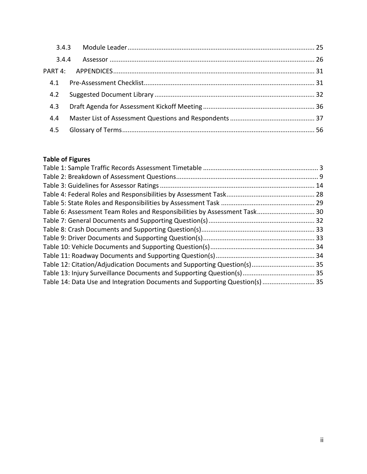| 3.4.4 |  |
|-------|--|
|       |  |
| 4.1   |  |
| 4.2   |  |
| 4.3   |  |
| 4.4   |  |
| 4.5   |  |
|       |  |

# **Table of Figures**

| Table 6: Assessment Team Roles and Responsibilities by Assessment Task 30   |  |
|-----------------------------------------------------------------------------|--|
|                                                                             |  |
|                                                                             |  |
|                                                                             |  |
|                                                                             |  |
|                                                                             |  |
| Table 12: Citation/Adjudication Documents and Supporting Question(s) 35     |  |
|                                                                             |  |
| Table 14: Data Use and Integration Documents and Supporting Question(s)  35 |  |
|                                                                             |  |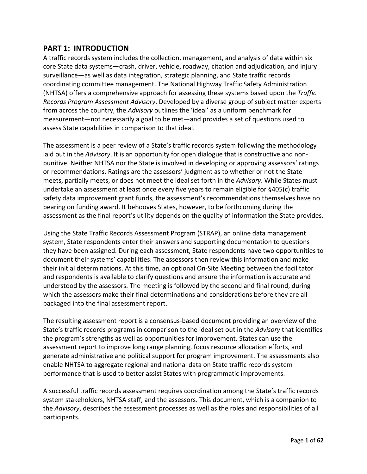# <span id="page-3-0"></span>**PART 1: INTRODUCTION**

A traffic records system includes the collection, management, and analysis of data within six core State data systems—crash, driver, vehicle, roadway, citation and adjudication, and injury surveillance—as well as data integration, strategic planning, and State traffic records coordinating committee management. The National Highway Traffic Safety Administration (NHTSA) offers a comprehensive approach for assessing these systems based upon the *Traffic Records Program Assessment Advisory*. Developed by a diverse group of subject matter experts from across the country, the *Advisory* outlines the 'ideal' as a uniform benchmark for measurement—not necessarily a goal to be met—and provides a set of questions used to assess State capabilities in comparison to that ideal.

The assessment is a peer review of a State's traffic records system following the methodology laid out in the *Advisory*. It is an opportunity for open dialogue that is constructive and nonpunitive. Neither NHTSA nor the State is involved in developing or approving assessors' ratings or recommendations. Ratings are the assessors' judgment as to whether or not the State meets, partially meets, or does not meet the ideal set forth in the *Advisory*. While States must undertake an assessment at least once every five years to remain eligible for §405(c) traffic safety data improvement grant funds, the assessment's recommendations themselves have no bearing on funding award. It behooves States, however, to be forthcoming during the assessment as the final report's utility depends on the quality of information the State provides.

Using the State Traffic Records Assessment Program (STRAP), an online data management system, State respondents enter their answers and supporting documentation to questions they have been assigned. During each assessment, State respondents have two opportunities to document their systems' capabilities. The assessors then review this information and make their initial determinations. At this time, an optional On-Site Meeting between the facilitator and respondents is available to clarify questions and ensure the information is accurate and understood by the assessors. The meeting is followed by the second and final round, during which the assessors make their final determinations and considerations before they are all packaged into the final assessment report.

The resulting assessment report is a consensus-based document providing an overview of the State's traffic records programs in comparison to the ideal set out in the *Advisory* that identifies the program's strengths as well as opportunities for improvement. States can use the assessment report to improve long range planning, focus resource allocation efforts, and generate administrative and political support for program improvement. The assessments also enable NHTSA to aggregate regional and national data on State traffic records system performance that is used to better assist States with programmatic improvements.

A successful traffic records assessment requires coordination among the State's traffic records system stakeholders, NHTSA staff, and the assessors. This document, which is a companion to the *Advisory*, describes the assessment processes as well as the roles and responsibilities of all participants.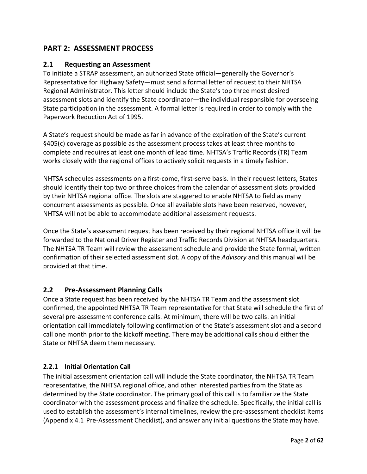# <span id="page-4-0"></span>**PART 2: ASSESSMENT PROCESS**

# <span id="page-4-1"></span>**2.1 Requesting an Assessment**

To initiate a STRAP assessment, an authorized State official—generally the Governor's Representative for Highway Safety—must send a formal letter of request to their NHTSA Regional Administrator. This letter should include the State's top three most desired assessment slots and identify the State coordinator—the individual responsible for overseeing State participation in the assessment. A formal letter is required in order to comply with the Paperwork Reduction Act of 1995.

A State's request should be made as far in advance of the expiration of the State's current §405(c) coverage as possible as the assessment process takes at least three months to complete and requires at least one month of lead time. NHTSA's Traffic Records (TR) Team works closely with the regional offices to actively solicit requests in a timely fashion.

NHTSA schedules assessments on a first-come, first-serve basis. In their request letters, States should identify their top two or three choices from the calendar of assessment slots provided by their NHTSA regional office. The slots are staggered to enable NHTSA to field as many concurrent assessments as possible. Once all available slots have been reserved, however, NHTSA will not be able to accommodate additional assessment requests.

Once the State's assessment request has been received by their regional NHTSA office it will be forwarded to the National Driver Register and Traffic Records Division at NHTSA headquarters. The NHTSA TR Team will review the assessment schedule and provide the State formal, written confirmation of their selected assessment slot. A copy of the *Advisory* and this manual will be provided at that time.

# <span id="page-4-2"></span>**2.2 Pre-Assessment Planning Calls**

Once a State request has been received by the NHTSA TR Team and the assessment slot confirmed, the appointed NHTSA TR Team representative for that State will schedule the first of several pre-assessment conference calls. At minimum, there will be two calls: an initial orientation call immediately following confirmation of the State's assessment slot and a second call one month prior to the kickoff meeting. There may be additional calls should either the State or NHTSA deem them necessary.

# <span id="page-4-3"></span>**2.2.1 Initial Orientation Call**

The initial assessment orientation call will include the State coordinator, the NHTSA TR Team representative, the NHTSA regional office, and other interested parties from the State as determined by the State coordinator. The primary goal of this call is to familiarize the State coordinator with the assessment process and finalize the schedule. Specifically, the initial call is used to establish the assessment's internal timelines, review the pre-assessment checklist items (Appendix 4.1 [Pre-Assessment Checklist\)](#page-33-1), and answer any initial questions the State may have.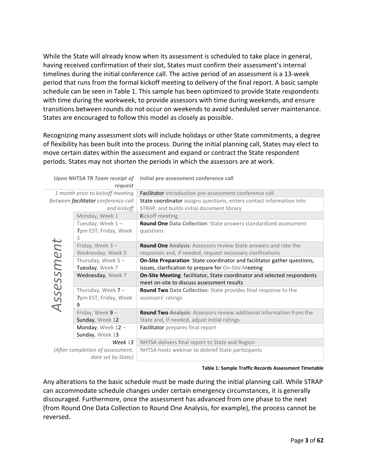While the State will already know when its assessment is scheduled to take place in general, having received confirmation of their slot, States must confirm their assessment's internal timelines during the initial conference call. The active period of an assessment is a 13-week period that runs from the formal kickoff meeting to delivery of the final report. A basic sample schedule can be seen in [Table 1.](#page-5-0) This sample has been optimized to provide State respondents with time during the workweek, to provide assessors with time during weekends, and ensure transitions between rounds do not occur on weekends to avoid scheduled server maintenance. States are encouraged to follow this model as closely as possible.

Recognizing many assessment slots will include holidays or other State commitments, a degree of flexibility has been built into the process. During the initial planning call, States may elect to move certain dates within the assessment and expand or contract the State respondent periods. States may not shorten the periods in which the assessors are at work.

|            | request                             |                                                                                                                               |
|------------|-------------------------------------|-------------------------------------------------------------------------------------------------------------------------------|
|            | 1 month prior to kickoff meeting    | Facilitator introduction pre-assessment conference call                                                                       |
|            | Between facilitator conference call | State coordinator assigns questions, enters contact information into                                                          |
|            | and kickoff                         | STRAP, and builds initial document library                                                                                    |
|            | Monday, Week 1                      | Kickoff meeting                                                                                                               |
|            | Tuesday, Week 1-                    | <b>Round One Data Collection: State answers standardized assessment</b>                                                       |
|            | 7pm EST, Friday, Week               | questions                                                                                                                     |
|            | 3                                   |                                                                                                                               |
|            | Friday, Week $3 -$                  | Round One Analysis: Assessors review State answers and rate the                                                               |
|            | Wednesday, Week 5                   | responses and, if needed, request necessary clarifications                                                                    |
|            | Thursday, Week $5 -$                | <b>On-Site Preparation:</b> State coordinator and facilitator gather questions,                                               |
|            | Tuesday, Week 7                     | issues, clarification to prepare for On-Site Meeting                                                                          |
| Assessment | Wednesday, Week 7                   | <b>On-Site Meeting: facilitator, State coordinator and selected respondents</b><br>meet on-site to discuss assessment results |
|            | Thursday, Week $7-$                 | Round Two Data Collection: State provides final response to the                                                               |
|            | 7pm EST, Friday, Week               | assessors' ratings                                                                                                            |
|            | 9                                   |                                                                                                                               |
|            | Friday, Week $9-$                   | Round Two Analysis: Assessors review additional information from the                                                          |
|            | Sunday, Week 12                     | State and, if needed, adjust initial ratings                                                                                  |
|            | Monday, Week $12 -$                 | Facilitator prepares final report                                                                                             |
|            | Sunday, Week 13                     |                                                                                                                               |
| Week 13    |                                     | NHTSA delivers final report to State and Region                                                                               |
|            | (After completion of assessment,    | NHTSA hosts webinar to debrief State participants                                                                             |
|            | date set by State)                  |                                                                                                                               |

#### Upon NHTSA TR Team receipt of Initial pre-assessment conference call

**Table 1: Sample Traffic Records Assessment Timetable**

<span id="page-5-0"></span>Any alterations to the basic schedule must be made during the initial planning call. While STRAP can accommodate schedule changes under certain emergency circumstances, it is generally discouraged. Furthermore, once the assessment has advanced from one phase to the next (from Round One Data Collection to Round One Analysis, for example), the process cannot be reversed.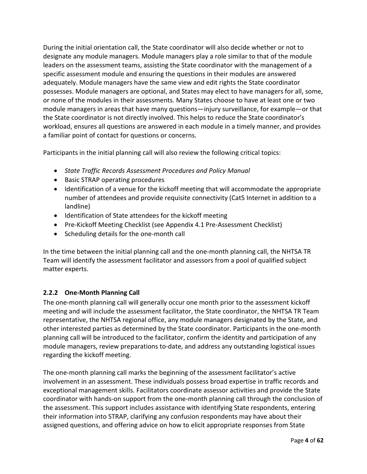During the initial orientation call, the State coordinator will also decide whether or not to designate any module managers. Module managers play a role similar to that of the module leaders on the assessment teams, assisting the State coordinator with the management of a specific assessment module and ensuring the questions in their modules are answered adequately. Module managers have the same view and edit rights the State coordinator possesses. Module managers are optional, and States may elect to have managers for all, some, or none of the modules in their assessments. Many States choose to have at least one or two module managers in areas that have many questions—injury surveillance, for example—or that the State coordinator is not directly involved. This helps to reduce the State coordinator's workload, ensures all questions are answered in each module in a timely manner, and provides a familiar point of contact for questions or concerns.

Participants in the initial planning call will also review the following critical topics:

- *State Traffic Records Assessment Procedures and Policy Manual*
- Basic STRAP operating procedures
- Identification of a venue for the kickoff meeting that will accommodate the appropriate number of attendees and provide requisite connectivity (Cat5 Internet in addition to a landline)
- Identification of State attendees for the kickoff meeting
- Pre-Kickoff Meeting Checklist (see Appendix 4.1 [Pre-Assessment Checklist\)](#page-33-1)
- Scheduling details for the one-month call

In the time between the initial planning call and the one-month planning call, the NHTSA TR Team will identify the assessment facilitator and assessors from a pool of qualified subject matter experts.

# <span id="page-6-0"></span>**2.2.2 One-Month Planning Call**

The one-month planning call will generally occur one month prior to the assessment kickoff meeting and will include the assessment facilitator, the State coordinator, the NHTSA TR Team representative, the NHTSA regional office, any module managers designated by the State, and other interested parties as determined by the State coordinator. Participants in the one-month planning call will be introduced to the facilitator, confirm the identity and participation of any module managers, review preparations to-date, and address any outstanding logistical issues regarding the kickoff meeting.

The one-month planning call marks the beginning of the assessment facilitator's active involvement in an assessment. These individuals possess broad expertise in traffic records and exceptional management skills. Facilitators coordinate assessor activities and provide the State coordinator with hands-on support from the one-month planning call through the conclusion of the assessment. This support includes assistance with identifying State respondents, entering their information into STRAP, clarifying any confusion respondents may have about their assigned questions, and offering advice on how to elicit appropriate responses from State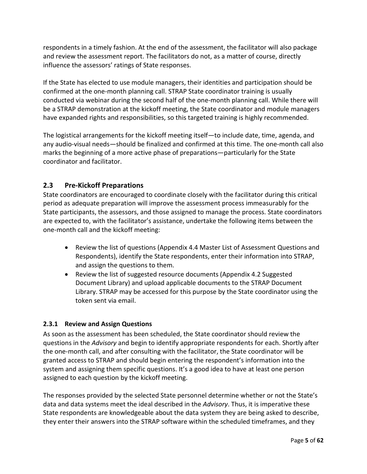respondents in a timely fashion. At the end of the assessment, the facilitator will also package and review the assessment report. The facilitators do not, as a matter of course, directly influence the assessors' ratings of State responses.

If the State has elected to use module managers, their identities and participation should be confirmed at the one-month planning call. STRAP State coordinator training is usually conducted via webinar during the second half of the one-month planning call. While there will be a STRAP demonstration at the kickoff meeting, the State coordinator and module managers have expanded rights and responsibilities, so this targeted training is highly recommended.

The logistical arrangements for the kickoff meeting itself—to include date, time, agenda, and any audio-visual needs—should be finalized and confirmed at this time. The one-month call also marks the beginning of a more active phase of preparations—particularly for the State coordinator and facilitator.

# <span id="page-7-0"></span>**2.3 Pre-Kickoff Preparations**

State coordinators are encouraged to coordinate closely with the facilitator during this critical period as adequate preparation will improve the assessment process immeasurably for the State participants, the assessors, and those assigned to manage the process. State coordinators are expected to, with the facilitator's assistance, undertake the following items between the one-month call and the kickoff meeting:

- Review the list of questions (Appendix 4.4 [Master List of Assessment Questions and](#page-39-0)  [Respondents\)](#page-39-0), identify the State respondents, enter their information into STRAP, and assign the questions to them.
- Review the list of suggested resource documents (Appendix 4.2 Suggested [Document Library\)](#page-34-0) and upload applicable documents to the STRAP Document Library. STRAP may be accessed for this purpose by the State coordinator using the token sent via email.

# <span id="page-7-1"></span>**2.3.1 Review and Assign Questions**

As soon as the assessment has been scheduled, the State coordinator should review the questions in the *Advisory* and begin to identify appropriate respondents for each. Shortly after the one-month call, and after consulting with the facilitator, the State coordinator will be granted access to STRAP and should begin entering the respondent's information into the system and assigning them specific questions. It's a good idea to have at least one person assigned to each question by the kickoff meeting.

The responses provided by the selected State personnel determine whether or not the State's data and data systems meet the ideal described in the *Advisory*. Thus, it is imperative these State respondents are knowledgeable about the data system they are being asked to describe, they enter their answers into the STRAP software within the scheduled timeframes, and they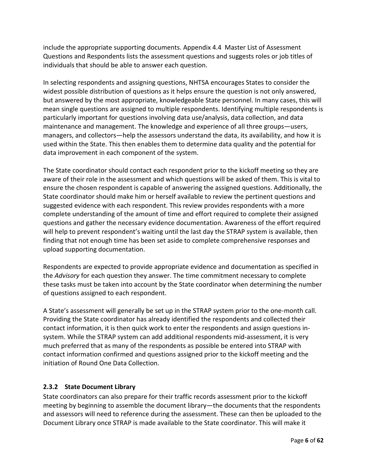include the appropriate supporting documents. Appendix [4.4](#page-34-0) Master List of Assessment Questions and Respondents lists the assessment questions and suggests roles or job titles of individuals that should be able to answer each question.

In selecting respondents and assigning questions, NHTSA encourages States to consider the widest possible distribution of questions as it helps ensure the question is not only answered, but answered by the most appropriate, knowledgeable State personnel. In many cases, this will mean single questions are assigned to multiple respondents. Identifying multiple respondents is particularly important for questions involving data use/analysis, data collection, and data maintenance and management. The knowledge and experience of all three groups—users, managers, and collectors—help the assessors understand the data, its availability, and how it is used within the State. This then enables them to determine data quality and the potential for data improvement in each component of the system.

The State coordinator should contact each respondent prior to the kickoff meeting so they are aware of their role in the assessment and which questions will be asked of them. This is vital to ensure the chosen respondent is capable of answering the assigned questions. Additionally, the State coordinator should make him or herself available to review the pertinent questions and suggested evidence with each respondent. This review provides respondents with a more complete understanding of the amount of time and effort required to complete their assigned questions and gather the necessary evidence documentation. Awareness of the effort required will help to prevent respondent's waiting until the last day the STRAP system is available, then finding that not enough time has been set aside to complete comprehensive responses and upload supporting documentation.

Respondents are expected to provide appropriate evidence and documentation as specified in the *Advisory* for each question they answer. The time commitment necessary to complete these tasks must be taken into account by the State coordinator when determining the number of questions assigned to each respondent.

A State's assessment will generally be set up in the STRAP system prior to the one-month call. Providing the State coordinator has already identified the respondents and collected their contact information, it is then quick work to enter the respondents and assign questions insystem. While the STRAP system can add additional respondents mid-assessment, it is very much preferred that as many of the respondents as possible be entered into STRAP with contact information confirmed and questions assigned prior to the kickoff meeting and the initiation of Round One Data Collection.

# <span id="page-8-0"></span>**2.3.2 State Document Library**

State coordinators can also prepare for their traffic records assessment prior to the kickoff meeting by beginning to assemble the document library—the documents that the respondents and assessors will need to reference during the assessment. These can then be uploaded to the Document Library once STRAP is made available to the State coordinator. This will make it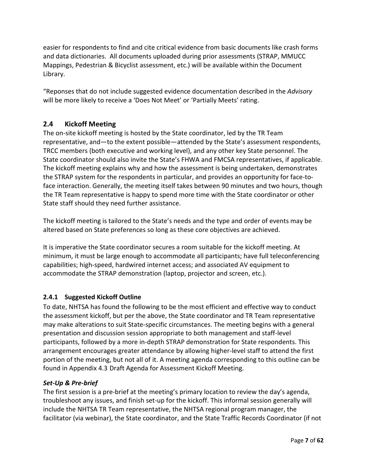easier for respondents to find and cite critical evidence from basic documents like crash forms and data dictionaries. All documents uploaded during prior assessments (STRAP, MMUCC Mappings, Pedestrian & Bicyclist assessment, etc.) will be available within the Document Library.

"Reponses that do not include suggested evidence documentation described in the *Advisory*  will be more likely to receive a 'Does Not Meet' or 'Partially Meets' rating.

# <span id="page-9-0"></span>**2.4 Kickoff Meeting**

The on-site kickoff meeting is hosted by the State coordinator, led by the TR Team representative, and—to the extent possible—attended by the State's assessment respondents, TRCC members (both executive and working level), and any other key State personnel. The State coordinator should also invite the State's FHWA and FMCSA representatives, if applicable. The kickoff meeting explains why and how the assessment is being undertaken, demonstrates the STRAP system for the respondents in particular, and provides an opportunity for face-toface interaction. Generally, the meeting itself takes between 90 minutes and two hours, though the TR Team representative is happy to spend more time with the State coordinator or other State staff should they need further assistance.

The kickoff meeting is tailored to the State's needs and the type and order of events may be altered based on State preferences so long as these core objectives are achieved.

It is imperative the State coordinator secures a room suitable for the kickoff meeting. At minimum, it must be large enough to accommodate all participants; have full teleconferencing capabilities; high-speed, hardwired internet access; and associated AV equipment to accommodate the STRAP demonstration (laptop, projector and screen, etc.).

# <span id="page-9-1"></span>**2.4.1 Suggested Kickoff Outline**

To date, NHTSA has found the following to be the most efficient and effective way to conduct the assessment kickoff, but per the above, the State coordinator and TR Team representative may make alterations to suit State-specific circumstances. The meeting begins with a general presentation and discussion session appropriate to both management and staff-level participants, followed by a more in-depth STRAP demonstration for State respondents. This arrangement encourages greater attendance by allowing higher-level staff to attend the first portion of the meeting, but not all of it. A meeting agenda corresponding to this outline can be found in Appendix 4.3 [Draft Agenda for Assessment Kickoff Meeting.](#page-38-0)

# *Set-Up & Pre-brief*

The first session is a pre-brief at the meeting's primary location to review the day's agenda, troubleshoot any issues, and finish set-up for the kickoff. This informal session generally will include the NHTSA TR Team representative, the NHTSA regional program manager, the facilitator (via webinar), the State coordinator, and the State Traffic Records Coordinator (if not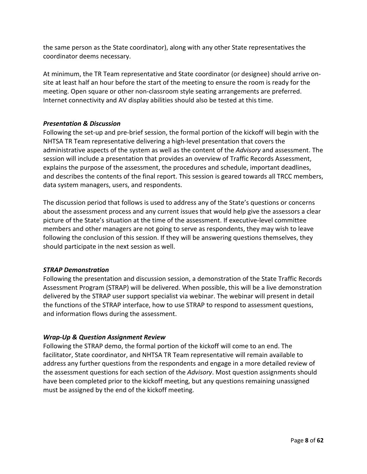the same person as the State coordinator), along with any other State representatives the coordinator deems necessary.

At minimum, the TR Team representative and State coordinator (or designee) should arrive onsite at least half an hour before the start of the meeting to ensure the room is ready for the meeting. Open square or other non-classroom style seating arrangements are preferred. Internet connectivity and AV display abilities should also be tested at this time.

#### *Presentation & Discussion*

Following the set-up and pre-brief session, the formal portion of the kickoff will begin with the NHTSA TR Team representative delivering a high-level presentation that covers the administrative aspects of the system as well as the content of the *Advisory* and assessment. The session will include a presentation that provides an overview of Traffic Records Assessment, explains the purpose of the assessment, the procedures and schedule, important deadlines, and describes the contents of the final report. This session is geared towards all TRCC members, data system managers, users, and respondents.

The discussion period that follows is used to address any of the State's questions or concerns about the assessment process and any current issues that would help give the assessors a clear picture of the State's situation at the time of the assessment. If executive-level committee members and other managers are not going to serve as respondents, they may wish to leave following the conclusion of this session. If they will be answering questions themselves, they should participate in the next session as well.

#### *STRAP Demonstration*

Following the presentation and discussion session, a demonstration of the State Traffic Records Assessment Program (STRAP) will be delivered. When possible, this will be a live demonstration delivered by the STRAP user support specialist via webinar. The webinar will present in detail the functions of the STRAP interface, how to use STRAP to respond to assessment questions, and information flows during the assessment.

## *Wrap-Up & Question Assignment Review*

Following the STRAP demo, the formal portion of the kickoff will come to an end. The facilitator, State coordinator, and NHTSA TR Team representative will remain available to address any further questions from the respondents and engage in a more detailed review of the assessment questions for each section of the *Advisory*. Most question assignments should have been completed prior to the kickoff meeting, but any questions remaining unassigned must be assigned by the end of the kickoff meeting.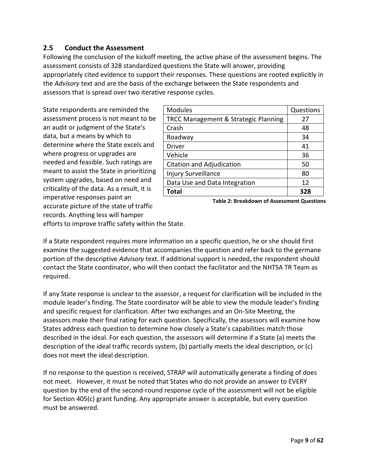# <span id="page-11-0"></span>**2.5 Conduct the Assessment**

Following the conclusion of the kickoff meeting, the active phase of the assessment begins. The assessment consists of 328 standardized questions the State will answer, providing appropriately cited evidence to support their responses. These questions are rooted explicitly in the *Advisory* text and are the basis of the exchange between the State respondents and assessors that is spread over two iterative response cycles.

State respondents are reminded the assessment process is not meant to be an audit or judgment of the State's data, but a means by which to determine where the State excels and where progress or upgrades are needed and feasible. Such ratings are meant to assist the State in prioritizing system upgrades, based on need and criticality of the data. As a result, it is imperative responses paint an accurate picture of the state of traffic records. Anything less will hamper

| <b>Modules</b>                       | Questions |
|--------------------------------------|-----------|
| TRCC Management & Strategic Planning | 27        |
| Crash                                | 48        |
| Roadway                              | 34        |
| <b>Driver</b>                        | 41        |
| Vehicle                              | 36        |
| Citation and Adjudication            | 50        |
| <b>Injury Surveillance</b>           | 80        |
| Data Use and Data Integration        | 12        |
| <b>Total</b>                         | 328       |

<span id="page-11-1"></span>**Table 2: Breakdown of Assessment Questions**

efforts to improve traffic safety within the State.

If a State respondent requires more information on a specific question, he or she should first examine the suggested evidence that accompanies the question and refer back to the germane portion of the descriptive *Advisory* text. If additional support is needed, the respondent should contact the State coordinator, who will then contact the facilitator and the NHTSA TR Team as required.

If any State response is unclear to the assessor, a request for clarification will be included in the module leader's finding. The State coordinator will be able to view the module leader's finding and specific request for clarification. After two exchanges and an On-Site Meeting, the assessors make their final rating for each question. Specifically, the assessors will examine how States address each question to determine how closely a State's capabilities match those described in the ideal. For each question, the assessors will determine if a State (a) meets the description of the ideal traffic records system, (b) partially meets the ideal description, or (c) does not meet the ideal description.

If no response to the question is received, STRAP will automatically generate a finding of does not meet. However, it must be noted that States who do not provide an answer to EVERY question by the end of the second-round response cycle of the assessment will not be eligible for Section 405(c) grant funding. Any appropriate answer is acceptable, but every question must be answered.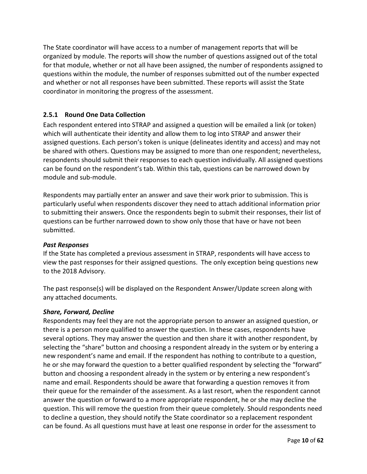The State coordinator will have access to a number of management reports that will be organized by module. The reports will show the number of questions assigned out of the total for that module, whether or not all have been assigned, the number of respondents assigned to questions within the module, the number of responses submitted out of the number expected and whether or not all responses have been submitted. These reports will assist the State coordinator in monitoring the progress of the assessment.

# <span id="page-12-0"></span>**2.5.1 Round One Data Collection**

Each respondent entered into STRAP and assigned a question will be emailed a link (or token) which will authenticate their identity and allow them to log into STRAP and answer their assigned questions. Each person's token is unique (delineates identity and access) and may not be shared with others. Questions may be assigned to more than one respondent; nevertheless, respondents should submit their responses to each question individually. All assigned questions can be found on the respondent's tab. Within this tab, questions can be narrowed down by module and sub-module.

Respondents may partially enter an answer and save their work prior to submission. This is particularly useful when respondents discover they need to attach additional information prior to submitting their answers. Once the respondents begin to submit their responses, their list of questions can be further narrowed down to show only those that have or have not been submitted.

## *Past Responses*

If the State has completed a previous assessment in STRAP, respondents will have access to view the past responses for their assigned questions. The only exception being questions new to the 2018 Advisory.

The past response(s) will be displayed on the Respondent Answer/Update screen along with any attached documents.

## *Share, Forward, Decline*

Respondents may feel they are not the appropriate person to answer an assigned question, or there is a person more qualified to answer the question. In these cases, respondents have several options. They may answer the question and then share it with another respondent, by selecting the "share" button and choosing a respondent already in the system or by entering a new respondent's name and email. If the respondent has nothing to contribute to a question, he or she may forward the question to a better qualified respondent by selecting the "forward" button and choosing a respondent already in the system or by entering a new respondent's name and email. Respondents should be aware that forwarding a question removes it from their queue for the remainder of the assessment. As a last resort, when the respondent cannot answer the question or forward to a more appropriate respondent, he or she may decline the question. This will remove the question from their queue completely. Should respondents need to decline a question, they should notify the State coordinator so a replacement respondent can be found. As all questions must have at least one response in order for the assessment to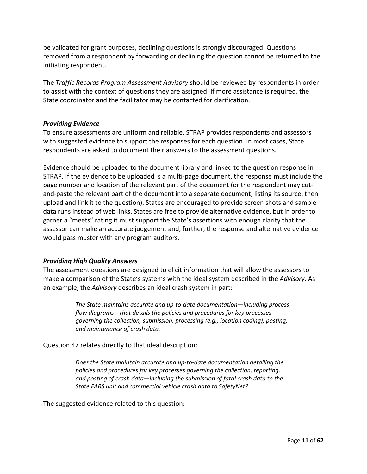be validated for grant purposes, declining questions is strongly discouraged. Questions removed from a respondent by forwarding or declining the question cannot be returned to the initiating respondent.

The *Traffic Records Program Assessment Advisory* should be reviewed by respondents in order to assist with the context of questions they are assigned. If more assistance is required, the State coordinator and the facilitator may be contacted for clarification.

## *Providing Evidence*

To ensure assessments are uniform and reliable, STRAP provides respondents and assessors with suggested evidence to support the responses for each question. In most cases, State respondents are asked to document their answers to the assessment questions.

Evidence should be uploaded to the document library and linked to the question response in STRAP. If the evidence to be uploaded is a multi-page document, the response must include the page number and location of the relevant part of the document (or the respondent may cutand-paste the relevant part of the document into a separate document, listing its source, then upload and link it to the question). States are encouraged to provide screen shots and sample data runs instead of web links. States are free to provide alternative evidence, but in order to garner a "meets" rating it must support the State's assertions with enough clarity that the assessor can make an accurate judgement and, further, the response and alternative evidence would pass muster with any program auditors.

## *Providing High Quality Answers*

The assessment questions are designed to elicit information that will allow the assessors to make a comparison of the State's systems with the ideal system described in the *Advisory*. As an example, the *Advisory* describes an ideal crash system in part:

> *The State maintains accurate and up-to-date documentation—including process flow diagrams—that details the policies and procedures for key processes governing the collection, submission, processing (e.g., location coding), posting, and maintenance of crash data.*

Question 47 relates directly to that ideal description:

*Does the State maintain accurate and up-to-date documentation detailing the policies and procedures for key processes governing the collection, reporting, and posting of crash data—including the submission of fatal crash data to the State FARS unit and commercial vehicle crash data to SafetyNet?*

The suggested evidence related to this question: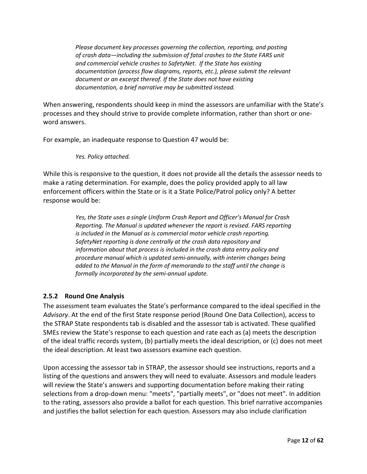*Please document key processes governing the collection, reporting, and posting of crash data—including the submission of fatal crashes to the State FARS unit and commercial vehicle crashes to SafetyNet. If the State has existing documentation (process flow diagrams, reports, etc.), please submit the relevant document or an excerpt thereof. If the State does not have existing documentation, a brief narrative may be submitted instead.*

When answering, respondents should keep in mind the assessors are unfamiliar with the State's processes and they should strive to provide complete information, rather than short or oneword answers.

For example, an inadequate response to Question 47 would be:

*Yes. Policy attached.*

While this is responsive to the question, it does not provide all the details the assessor needs to make a rating determination. For example, does the policy provided apply to all law enforcement officers within the State or is it a State Police/Patrol policy only? A better response would be:

> *Yes, the State uses a single Uniform Crash Report and Officer's Manual for Crash Reporting. The Manual is updated whenever the report is revised. FARS reporting is included in the Manual as is commercial motor vehicle crash reporting. SafetyNet reporting is done centrally at the crash data repository and information about that process is included in the crash data entry policy and procedure manual which is updated semi-annually, with interim changes being added to the Manual in the form of memoranda to the staff until the change is formally incorporated by the semi-annual update.*

## <span id="page-14-0"></span>**2.5.2 Round One Analysis**

The assessment team evaluates the State's performance compared to the ideal specified in the *Advisory*. At the end of the first State response period (Round One Data Collection), access to the STRAP State respondents tab is disabled and the assessor tab is activated. These qualified SMEs review the State's response to each question and rate each as (a) meets the description of the ideal traffic records system, (b) partially meets the ideal description, or (c) does not meet the ideal description. At least two assessors examine each question.

Upon accessing the assessor tab in STRAP, the assessor should see instructions, reports and a listing of the questions and answers they will need to evaluate. Assessors and module leaders will review the State's answers and supporting documentation before making their rating selections from a drop-down menu: "meets", "partially meets", or "does not meet". In addition to the rating, assessors also provide a ballot for each question. This brief narrative accompanies and justifies the ballot selection for each question. Assessors may also include clarification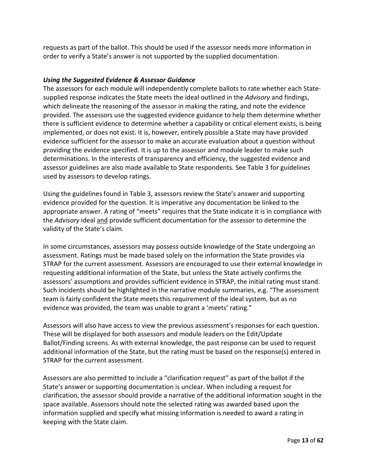requests as part of the ballot. This should be used if the assessor needs more information in order to verify a State's answer is not supported by the supplied documentation.

#### *Using the Suggested Evidence & Assessor Guidance*

The assessors for each module will independently complete ballots to rate whether each Statesupplied response indicates the State meets the ideal outlined in the *Advisory* and findings, which delineate the reasoning of the assessor in making the rating, and note the evidence provided. The assessors use the suggested evidence guidance to help them determine whether there is sufficient evidence to determine whether a capability or critical element exists, is being implemented, or does not exist. It is, however, entirely possible a State may have provided evidence sufficient for the assessor to make an accurate evaluation about a question without providing the evidence specified. It is up to the assessor and module leader to make such determinations. In the interests of transparency and efficiency, the suggested evidence and assessor guidelines are also made available to State respondents. See [Table 3](#page-16-0) for guidelines used by assessors to develop ratings.

Using the guidelines found in [Table 3,](#page-16-0) assessors review the State's answer and supporting evidence provided for the question. It is imperative any documentation be linked to the appropriate answer. A rating of "meets" requires that the State indicate it is in compliance with the *Advisory* ideal and provide sufficient documentation for the assessor to determine the validity of the State's claim.

In some circumstances, assessors may possess outside knowledge of the State undergoing an assessment. Ratings must be made based solely on the information the State provides via STRAP for the current assessment. Assessors are encouraged to use their external knowledge in requesting additional information of the State, but unless the State actively confirms the assessors' assumptions and provides sufficient evidence in STRAP, the initial rating must stand. Such incidents should be highlighted in the narrative module summaries, e.g. "The assessment team is fairly confident the State meets this requirement of the ideal system, but as no evidence was provided, the team was unable to grant a 'meets' rating."

Assessors will also have access to view the previous assessment's responses for each question. These will be displayed for both assessors and module leaders on the Edit/Update Ballot/Finding screens. As with external knowledge, the past response can be used to request additional information of the State, but the rating must be based on the response(s) entered in STRAP for the current assessment.

Assessors are also permitted to include a "clarification request" as part of the ballot if the State's answer or supporting documentation is unclear. When including a request for clarification, the assessor should provide a narrative of the additional information sought in the space available. Assessors should note the selected rating was awarded based upon the information supplied and specify what missing information is needed to award a rating in keeping with the State claim.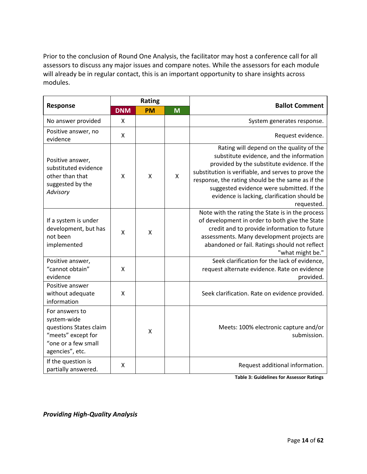Prior to the conclusion of Round One Analysis, the facilitator may host a conference call for all assessors to discuss any major issues and compare notes. While the assessors for each module will already be in regular contact, this is an important opportunity to share insights across modules.

|                                                                                                                         | Rating       |           |   | <b>Ballot Comment</b>                                                                                                                                                                                                                                                                                                                                      |  |
|-------------------------------------------------------------------------------------------------------------------------|--------------|-----------|---|------------------------------------------------------------------------------------------------------------------------------------------------------------------------------------------------------------------------------------------------------------------------------------------------------------------------------------------------------------|--|
| Response                                                                                                                | <b>DNM</b>   | <b>PM</b> | M |                                                                                                                                                                                                                                                                                                                                                            |  |
| No answer provided                                                                                                      | $\mathsf{x}$ |           |   | System generates response.                                                                                                                                                                                                                                                                                                                                 |  |
| Positive answer, no<br>evidence                                                                                         | X            |           |   | Request evidence.                                                                                                                                                                                                                                                                                                                                          |  |
| Positive answer,<br>substituted evidence<br>other than that<br>suggested by the<br>Advisory                             | X            | X         | X | Rating will depend on the quality of the<br>substitute evidence, and the information<br>provided by the substitute evidence. If the<br>substitution is verifiable, and serves to prove the<br>response, the rating should be the same as if the<br>suggested evidence were submitted. If the<br>evidence is lacking, clarification should be<br>requested. |  |
| If a system is under<br>development, but has<br>not been<br>implemented                                                 | X            | X         |   | Note with the rating the State is in the process<br>of development in order to both give the State<br>credit and to provide information to future<br>assessments. Many development projects are<br>abandoned or fail. Ratings should not reflect<br>"what might be."                                                                                       |  |
| Positive answer,<br>"cannot obtain"<br>evidence                                                                         | $\mathsf{x}$ |           |   | Seek clarification for the lack of evidence,<br>request alternate evidence. Rate on evidence<br>provided.                                                                                                                                                                                                                                                  |  |
| Positive answer<br>without adequate<br>information                                                                      | $\mathsf{x}$ |           |   | Seek clarification. Rate on evidence provided.                                                                                                                                                                                                                                                                                                             |  |
| For answers to<br>system-wide<br>questions States claim<br>"meets" except for<br>"one or a few small<br>agencies", etc. |              | X         |   | Meets: 100% electronic capture and/or<br>submission.                                                                                                                                                                                                                                                                                                       |  |
| If the question is<br>partially answered.                                                                               | X            |           |   | Request additional information.                                                                                                                                                                                                                                                                                                                            |  |

**Table 3: Guidelines for Assessor Ratings**

<span id="page-16-0"></span>*Providing High-Quality Analysis*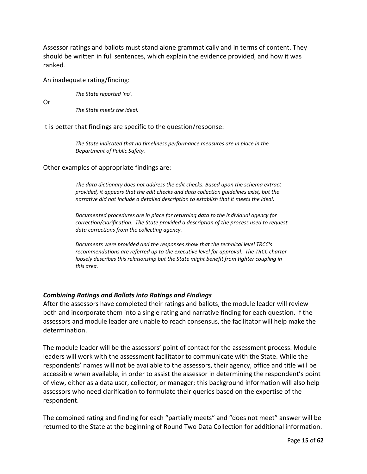Assessor ratings and ballots must stand alone grammatically and in terms of content. They should be written in full sentences, which explain the evidence provided, and how it was ranked*.*

#### An inadequate rating/finding:

*The State reported 'no'.*

Or

*The State meets the ideal.*

It is better that findings are specific to the question/response:

*The State indicated that no timeliness performance measures are in place in the Department of Public Safety.*

#### Other examples of appropriate findings are:

*The data dictionary does not address the edit checks. Based upon the schema extract provided, it appears that the edit checks and data collection guidelines exist, but the narrative did not include a detailed description to establish that it meets the ideal.*

*Documented procedures are in place for returning data to the individual agency for correction/clarification. The State provided a description of the process used to request data corrections from the collecting agency.*

*Documents were provided and the responses show that the technical level TRCC's recommendations are referred up to the executive level for approval. The TRCC charter loosely describes this relationship but the State might benefit from tighter coupling in this area.*

#### *Combining Ratings and Ballots into Ratings and Findings*

After the assessors have completed their ratings and ballots, the module leader will review both and incorporate them into a single rating and narrative finding for each question. If the assessors and module leader are unable to reach consensus, the facilitator will help make the determination.

The module leader will be the assessors' point of contact for the assessment process. Module leaders will work with the assessment facilitator to communicate with the State. While the respondents' names will not be available to the assessors, their agency, office and title will be accessible when available, in order to assist the assessor in determining the respondent's point of view, either as a data user, collector, or manager; this background information will also help assessors who need clarification to formulate their queries based on the expertise of the respondent.

The combined rating and finding for each "partially meets" and "does not meet" answer will be returned to the State at the beginning of Round Two Data Collection for additional information.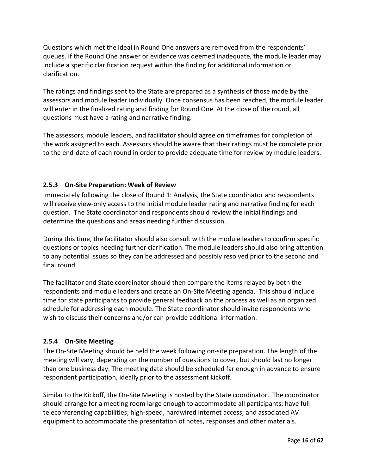Questions which met the ideal in Round One answers are removed from the respondents' queues. If the Round One answer or evidence was deemed inadequate, the module leader may include a specific clarification request within the finding for additional information or clarification.

The ratings and findings sent to the State are prepared as a synthesis of those made by the assessors and module leader individually. Once consensus has been reached, the module leader will enter in the finalized rating and finding for Round One. At the close of the round, all questions must have a rating and narrative finding.

The assessors, module leaders, and facilitator should agree on timeframes for completion of the work assigned to each. Assessors should be aware that their ratings must be complete prior to the end-date of each round in order to provide adequate time for review by module leaders.

# <span id="page-18-0"></span>**2.5.3 On-Site Preparation: Week of Review**

Immediately following the close of Round 1: Analysis, the State coordinator and respondents will receive view-only access to the initial module leader rating and narrative finding for each question. The State coordinator and respondents should review the initial findings and determine the questions and areas needing further discussion.

During this time, the facilitator should also consult with the module leaders to confirm specific questions or topics needing further clarification. The module leaders should also bring attention to any potential issues so they can be addressed and possibly resolved prior to the second and final round.

The facilitator and State coordinator should then compare the items relayed by both the respondents and module leaders and create an On-Site Meeting agenda. This should include time for state participants to provide general feedback on the process as well as an organized schedule for addressing each module. The State coordinator should invite respondents who wish to discuss their concerns and/or can provide additional information.

## <span id="page-18-1"></span>**2.5.4 On-Site Meeting**

The On-Site Meeting should be held the week following on-site preparation. The length of the meeting will vary, depending on the number of questions to cover, but should last no longer than one business day. The meeting date should be scheduled far enough in advance to ensure respondent participation, ideally prior to the assessment kickoff.

Similar to the Kickoff, the On-Site Meeting is hosted by the State coordinator. The coordinator should arrange for a meeting room large enough to accommodate all participants; have full teleconferencing capabilities; high-speed, hardwired internet access; and associated AV equipment to accommodate the presentation of notes, responses and other materials.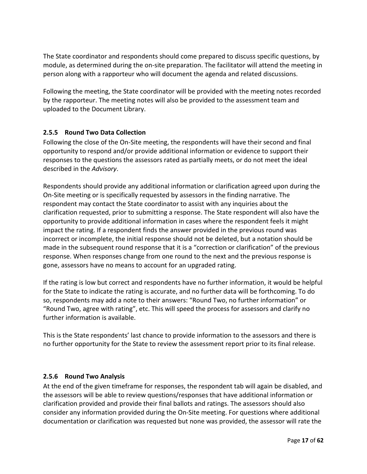The State coordinator and respondents should come prepared to discuss specific questions, by module, as determined during the on-site preparation. The facilitator will attend the meeting in person along with a rapporteur who will document the agenda and related discussions.

Following the meeting, the State coordinator will be provided with the meeting notes recorded by the rapporteur. The meeting notes will also be provided to the assessment team and uploaded to the Document Library.

# <span id="page-19-0"></span>**2.5.5 Round Two Data Collection**

Following the close of the On-Site meeting, the respondents will have their second and final opportunity to respond and/or provide additional information or evidence to support their responses to the questions the assessors rated as partially meets, or do not meet the ideal described in the *Advisory*.

Respondents should provide any additional information or clarification agreed upon during the On-Site meeting or is specifically requested by assessors in the finding narrative. The respondent may contact the State coordinator to assist with any inquiries about the clarification requested, prior to submitting a response. The State respondent will also have the opportunity to provide additional information in cases where the respondent feels it might impact the rating. If a respondent finds the answer provided in the previous round was incorrect or incomplete, the initial response should not be deleted, but a notation should be made in the subsequent round response that it is a "correction or clarification" of the previous response. When responses change from one round to the next and the previous response is gone, assessors have no means to account for an upgraded rating.

If the rating is low but correct and respondents have no further information, it would be helpful for the State to indicate the rating is accurate, and no further data will be forthcoming. To do so, respondents may add a note to their answers: "Round Two, no further information" or "Round Two, agree with rating", etc. This will speed the process for assessors and clarify no further information is available.

This is the State respondents' last chance to provide information to the assessors and there is no further opportunity for the State to review the assessment report prior to its final release.

## <span id="page-19-1"></span>**2.5.6 Round Two Analysis**

At the end of the given timeframe for responses, the respondent tab will again be disabled, and the assessors will be able to review questions/responses that have additional information or clarification provided and provide their final ballots and ratings. The assessors should also consider any information provided during the On-Site meeting. For questions where additional documentation or clarification was requested but none was provided, the assessor will rate the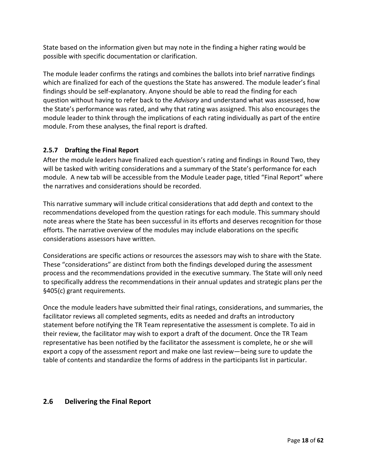State based on the information given but may note in the finding a higher rating would be possible with specific documentation or clarification.

The module leader confirms the ratings and combines the ballots into brief narrative findings which are finalized for each of the questions the State has answered. The module leader's final findings should be self-explanatory. Anyone should be able to read the finding for each question without having to refer back to the *Advisory* and understand what was assessed, how the State's performance was rated, and why that rating was assigned. This also encourages the module leader to think through the implications of each rating individually as part of the entire module. From these analyses, the final report is drafted.

# <span id="page-20-0"></span>**2.5.7 Drafting the Final Report**

After the module leaders have finalized each question's rating and findings in Round Two, they will be tasked with writing considerations and a summary of the State's performance for each module. A new tab will be accessible from the Module Leader page, titled "Final Report" where the narratives and considerations should be recorded.

This narrative summary will include critical considerations that add depth and context to the recommendations developed from the question ratings for each module. This summary should note areas where the State has been successful in its efforts and deserves recognition for those efforts. The narrative overview of the modules may include elaborations on the specific considerations assessors have written.

Considerations are specific actions or resources the assessors may wish to share with the State. These "considerations" are distinct from both the findings developed during the assessment process and the recommendations provided in the executive summary. The State will only need to specifically address the recommendations in their annual updates and strategic plans per the §405(c) grant requirements.

Once the module leaders have submitted their final ratings, considerations, and summaries, the facilitator reviews all completed segments, edits as needed and drafts an introductory statement before notifying the TR Team representative the assessment is complete. To aid in their review, the facilitator may wish to export a draft of the document. Once the TR Team representative has been notified by the facilitator the assessment is complete, he or she will export a copy of the assessment report and make one last review—being sure to update the table of contents and standardize the forms of address in the participants list in particular.

# <span id="page-20-1"></span>**2.6 Delivering the Final Report**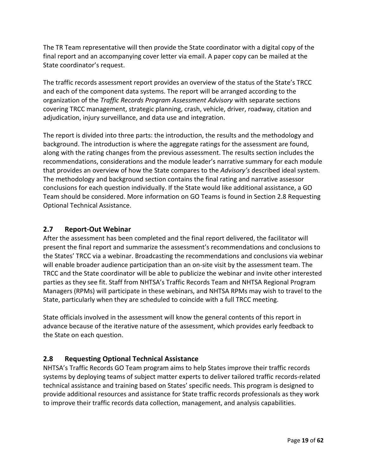The TR Team representative will then provide the State coordinator with a digital copy of the final report and an accompanying cover letter via email. A paper copy can be mailed at the State coordinator's request.

The traffic records assessment report provides an overview of the status of the State's TRCC and each of the component data systems. The report will be arranged according to the organization of the *Traffic Records Program Assessment Advisory* with separate sections covering TRCC management, strategic planning, crash, vehicle, driver, roadway, citation and adjudication, injury surveillance, and data use and integration.

The report is divided into three parts: the introduction, the results and the methodology and background. The introduction is where the aggregate ratings for the assessment are found, along with the rating changes from the previous assessment. The results section includes the recommendations, considerations and the module leader's narrative summary for each module that provides an overview of how the State compares to the *Advisory's* described ideal system. The methodology and background section contains the final rating and narrative assessor conclusions for each question individually. If the State would like additional assistance, a GO Team should be considered. More information on GO Teams is found in Section 2.8 [Requesting](#page-21-1)  [Optional Technical Assistance.](#page-21-1)

# <span id="page-21-0"></span>**2.7 Report-Out Webinar**

After the assessment has been completed and the final report delivered, the facilitator will present the final report and summarize the assessment's recommendations and conclusions to the States' TRCC via a webinar. Broadcasting the recommendations and conclusions via webinar will enable broader audience participation than an on-site visit by the assessment team. The TRCC and the State coordinator will be able to publicize the webinar and invite other interested parties as they see fit. Staff from NHTSA's Traffic Records Team and NHTSA Regional Program Managers (RPMs) will participate in these webinars, and NHTSA RPMs may wish to travel to the State, particularly when they are scheduled to coincide with a full TRCC meeting.

State officials involved in the assessment will know the general contents of this report in advance because of the iterative nature of the assessment, which provides early feedback to the State on each question.

# <span id="page-21-1"></span>**2.8 Requesting Optional Technical Assistance**

NHTSA's Traffic Records GO Team program aims to help States improve their traffic records systems by deploying teams of subject matter experts to deliver tailored traffic records-related technical assistance and training based on States' specific needs. This program is designed to provide additional resources and assistance for State traffic records professionals as they work to improve their traffic records data collection, management, and analysis capabilities.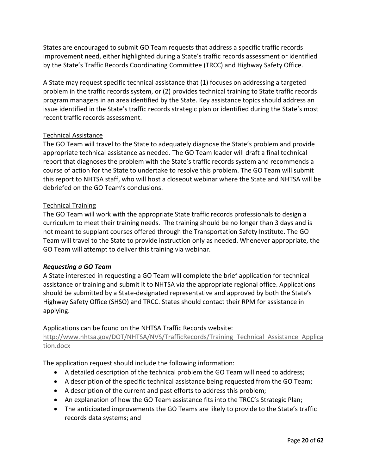States are encouraged to submit GO Team requests that address a specific traffic records improvement need, either highlighted during a State's traffic records assessment or identified by the State's Traffic Records Coordinating Committee (TRCC) and Highway Safety Office.

A State may request specific technical assistance that (1) focuses on addressing a targeted problem in the traffic records system, or (2) provides technical training to State traffic records program managers in an area identified by the State. Key assistance topics should address an issue identified in the State's traffic records strategic plan or identified during the State's most recent traffic records assessment.

# Technical Assistance

The GO Team will travel to the State to adequately diagnose the State's problem and provide appropriate technical assistance as needed. The GO Team leader will draft a final technical report that diagnoses the problem with the State's traffic records system and recommends a course of action for the State to undertake to resolve this problem. The GO Team will submit this report to NHTSA staff, who will host a closeout webinar where the State and NHTSA will be debriefed on the GO Team's conclusions.

# Technical Training

The GO Team will work with the appropriate State traffic records professionals to design a curriculum to meet their training needs. The training should be no longer than 3 days and is not meant to supplant courses offered through the Transportation Safety Institute. The GO Team will travel to the State to provide instruction only as needed. Whenever appropriate, the GO Team will attempt to deliver this training via webinar.

## *Requesting a GO Team*

A State interested in requesting a GO Team will complete the brief application for technical assistance or training and submit it to NHTSA via the appropriate regional office. Applications should be submitted by a State-designated representative and approved by both the State's Highway Safety Office (SHSO) and TRCC. States should contact their RPM for assistance in applying.

Applications can be found on the NHTSA Traffic Records website:

[http://www.nhtsa.gov/DOT/NHTSA/NVS/TrafficRecords/Training\\_Technical\\_Assistance\\_Applica](http://www.nhtsa.gov/DOT/NHTSA/NVS/TrafficRecords/Training_Technical_Assistance_Application.docx) [tion.docx](http://www.nhtsa.gov/DOT/NHTSA/NVS/TrafficRecords/Training_Technical_Assistance_Application.docx)

The application request should include the following information:

- A detailed description of the technical problem the GO Team will need to address;
- A description of the specific technical assistance being requested from the GO Team;
- A description of the current and past efforts to address this problem;
- An explanation of how the GO Team assistance fits into the TRCC's Strategic Plan;
- The anticipated improvements the GO Teams are likely to provide to the State's traffic records data systems; and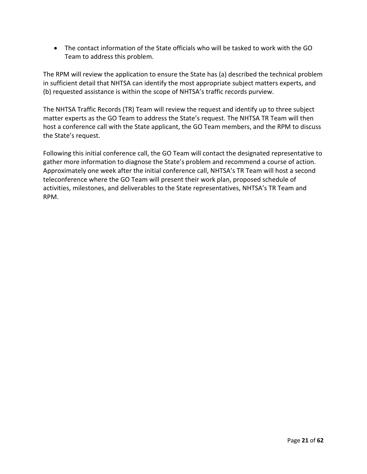• The contact information of the State officials who will be tasked to work with the GO Team to address this problem.

The RPM will review the application to ensure the State has (a) described the technical problem in sufficient detail that NHTSA can identify the most appropriate subject matters experts, and (b) requested assistance is within the scope of NHTSA's traffic records purview.

The NHTSA Traffic Records (TR) Team will review the request and identify up to three subject matter experts as the GO Team to address the State's request. The NHTSA TR Team will then host a conference call with the State applicant, the GO Team members, and the RPM to discuss the State's request.

Following this initial conference call, the GO Team will contact the designated representative to gather more information to diagnose the State's problem and recommend a course of action. Approximately one week after the initial conference call, NHTSA's TR Team will host a second teleconference where the GO Team will present their work plan, proposed schedule of activities, milestones, and deliverables to the State representatives, NHTSA's TR Team and RPM.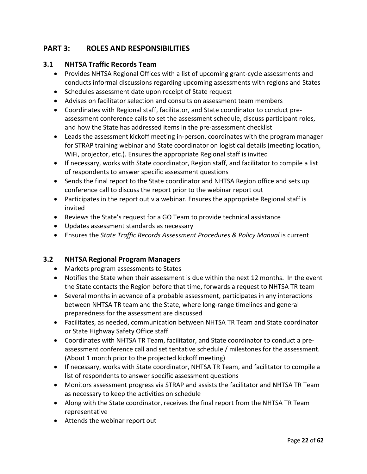# <span id="page-24-0"></span>**PART 3: ROLES AND RESPONSIBILITIES**

# <span id="page-24-1"></span>**3.1 NHTSA Traffic Records Team**

- Provides NHTSA Regional Offices with a list of upcoming grant-cycle assessments and conducts informal discussions regarding upcoming assessments with regions and States
- Schedules assessment date upon receipt of State request
- Advises on facilitator selection and consults on assessment team members
- Coordinates with Regional staff, facilitator, and State coordinator to conduct preassessment conference calls to set the assessment schedule, discuss participant roles, and how the State has addressed items in the pre-assessment checklist
- Leads the assessment kickoff meeting in-person, coordinates with the program manager for STRAP training webinar and State coordinator on logistical details (meeting location, WiFi, projector, etc.). Ensures the appropriate Regional staff is invited
- If necessary, works with State coordinator, Region staff, and facilitator to compile a list of respondents to answer specific assessment questions
- Sends the final report to the State coordinator and NHTSA Region office and sets up conference call to discuss the report prior to the webinar report out
- Participates in the report out via webinar. Ensures the appropriate Regional staff is invited
- Reviews the State's request for a GO Team to provide technical assistance
- Updates assessment standards as necessary
- Ensures the *State Traffic Records Assessment Procedures & Policy Manual* is current

# <span id="page-24-2"></span>**3.2 NHTSA Regional Program Managers**

- Markets program assessments to States
- Notifies the State when their assessment is due within the next 12 months. In the event the State contacts the Region before that time, forwards a request to NHTSA TR team
- Several months in advance of a probable assessment, participates in any interactions between NHTSA TR team and the State, where long-range timelines and general preparedness for the assessment are discussed
- Facilitates, as needed, communication between NHTSA TR Team and State coordinator or State Highway Safety Office staff
- Coordinates with NHTSA TR Team, facilitator, and State coordinator to conduct a preassessment conference call and set tentative schedule / milestones for the assessment. (About 1 month prior to the projected kickoff meeting)
- If necessary, works with State coordinator, NHTSA TR Team, and facilitator to compile a list of respondents to answer specific assessment questions
- Monitors assessment progress via STRAP and assists the facilitator and NHTSA TR Team as necessary to keep the activities on schedule
- Along with the State coordinator, receives the final report from the NHTSA TR Team representative
- Attends the webinar report out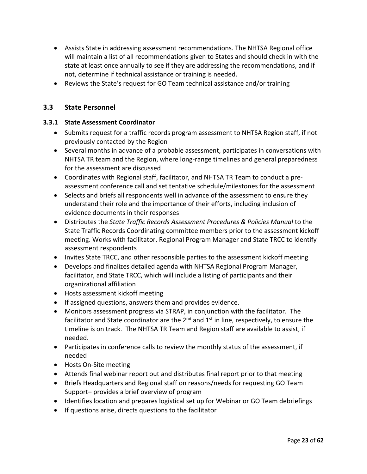- Assists State in addressing assessment recommendations. The NHTSA Regional office will maintain a list of all recommendations given to States and should check in with the state at least once annually to see if they are addressing the recommendations, and if not, determine if technical assistance or training is needed.
- Reviews the State's request for GO Team technical assistance and/or training

# <span id="page-25-0"></span>**3.3 State Personnel**

# <span id="page-25-1"></span>**3.3.1 State Assessment Coordinator**

- Submits request for a traffic records program assessment to NHTSA Region staff, if not previously contacted by the Region
- Several months in advance of a probable assessment, participates in conversations with NHTSA TR team and the Region, where long-range timelines and general preparedness for the assessment are discussed
- Coordinates with Regional staff, facilitator, and NHTSA TR Team to conduct a preassessment conference call and set tentative schedule/milestones for the assessment
- Selects and briefs all respondents well in advance of the assessment to ensure they understand their role and the importance of their efforts, including inclusion of evidence documents in their responses
- Distributes the *State Traffic Records Assessment Procedures & Policies Manual* to the State Traffic Records Coordinating committee members prior to the assessment kickoff meeting. Works with facilitator, Regional Program Manager and State TRCC to identify assessment respondents
- Invites State TRCC, and other responsible parties to the assessment kickoff meeting
- Develops and finalizes detailed agenda with NHTSA Regional Program Manager, facilitator, and State TRCC, which will include a listing of participants and their organizational affiliation
- Hosts assessment kickoff meeting
- If assigned questions, answers them and provides evidence.
- Monitors assessment progress via STRAP, in conjunction with the facilitator. The facilitator and State coordinator are the  $2<sup>nd</sup>$  and  $1<sup>st</sup>$  in line, respectively, to ensure the timeline is on track. The NHTSA TR Team and Region staff are available to assist, if needed.
- Participates in conference calls to review the monthly status of the assessment, if needed
- Hosts On-Site meeting
- Attends final webinar report out and distributes final report prior to that meeting
- Briefs Headquarters and Regional staff on reasons/needs for requesting GO Team Support– provides a brief overview of program
- Identifies location and prepares logistical set up for Webinar or GO Team debriefings
- If questions arise, directs questions to the facilitator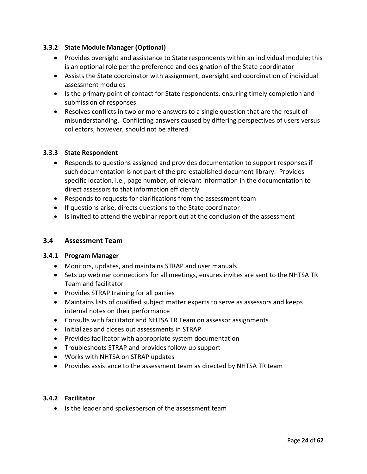# <span id="page-26-0"></span>**3.3.2 State Module Manager (Optional)**

- Provides oversight and assistance to State respondents within an individual module; this is an optional role per the preference and designation of the State coordinator
- Assists the State coordinator with assignment, oversight and coordination of individual assessment modules
- Is the primary point of contact for State respondents, ensuring timely completion and submission of responses
- Resolves conflicts in two or more answers to a single question that are the result of misunderstanding. Conflicting answers caused by differing perspectives of users versus collectors, however, should not be altered.

# <span id="page-26-1"></span>**3.3.3 State Respondent**

- Responds to questions assigned and provides documentation to support responses if such documentation is not part of the pre-established document library. Provides specific location, i.e., page number, of relevant information in the documentation to direct assessors to that information efficiently
- Responds to requests for clarifications from the assessment team
- If questions arise, directs questions to the State coordinator
- Is invited to attend the webinar report out at the conclusion of the assessment

## <span id="page-26-2"></span>**3.4 Assessment Team**

## <span id="page-26-3"></span>**3.4.1 Program Manager**

- Monitors, updates, and maintains STRAP and user manuals
- Sets up webinar connections for all meetings, ensures invites are sent to the NHTSA TR Team and facilitator
- Provides STRAP training for all parties
- Maintains lists of qualified subject matter experts to serve as assessors and keeps internal notes on their performance
- Consults with facilitator and NHTSA TR Team on assessor assignments
- Initializes and closes out assessments in STRAP
- Provides facilitator with appropriate system documentation
- Troubleshoots STRAP and provides follow-up support
- Works with NHTSA on STRAP updates
- Provides assistance to the assessment team as directed by NHTSA TR team

## <span id="page-26-4"></span>**3.4.2 Facilitator**

• Is the leader and spokesperson of the assessment team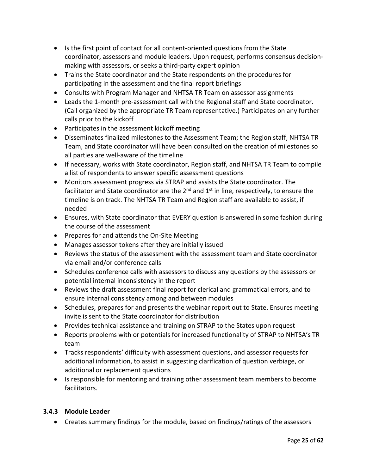- Is the first point of contact for all content-oriented questions from the State coordinator, assessors and module leaders. Upon request, performs consensus decisionmaking with assessors, or seeks a third-party expert opinion
- Trains the State coordinator and the State respondents on the procedures for participating in the assessment and the final report briefings
- Consults with Program Manager and NHTSA TR Team on assessor assignments
- Leads the 1-month pre-assessment call with the Regional staff and State coordinator. (Call organized by the appropriate TR Team representative.) Participates on any further calls prior to the kickoff
- Participates in the assessment kickoff meeting
- Disseminates finalized milestones to the Assessment Team; the Region staff, NHTSA TR Team, and State coordinator will have been consulted on the creation of milestones so all parties are well-aware of the timeline
- If necessary, works with State coordinator, Region staff, and NHTSA TR Team to compile a list of respondents to answer specific assessment questions
- Monitors assessment progress via STRAP and assists the State coordinator. The facilitator and State coordinator are the  $2<sup>nd</sup>$  and  $1<sup>st</sup>$  in line, respectively, to ensure the timeline is on track. The NHTSA TR Team and Region staff are available to assist, if needed
- Ensures, with State coordinator that EVERY question is answered in some fashion during the course of the assessment
- Prepares for and attends the On-Site Meeting
- Manages assessor tokens after they are initially issued
- Reviews the status of the assessment with the assessment team and State coordinator via email and/or conference calls
- Schedules conference calls with assessors to discuss any questions by the assessors or potential internal inconsistency in the report
- Reviews the draft assessment final report for clerical and grammatical errors, and to ensure internal consistency among and between modules
- Schedules, prepares for and presents the webinar report out to State. Ensures meeting invite is sent to the State coordinator for distribution
- Provides technical assistance and training on STRAP to the States upon request
- Reports problems with or potentials for increased functionality of STRAP to NHTSA's TR team
- Tracks respondents' difficulty with assessment questions, and assessor requests for additional information, to assist in suggesting clarification of question verbiage, or additional or replacement questions
- Is responsible for mentoring and training other assessment team members to become facilitators.

# <span id="page-27-0"></span>**3.4.3 Module Leader**

• Creates summary findings for the module, based on findings/ratings of the assessors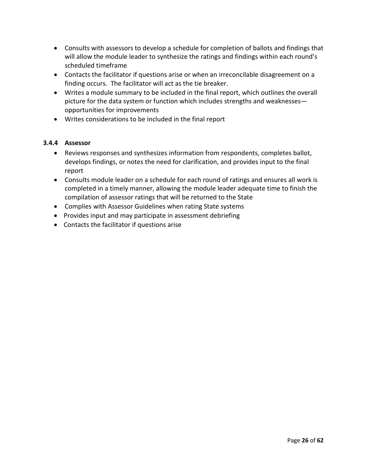- Consults with assessors to develop a schedule for completion of ballots and findings that will allow the module leader to synthesize the ratings and findings within each round's scheduled timeframe
- Contacts the facilitator if questions arise or when an irreconcilable disagreement on a finding occurs. The facilitator will act as the tie breaker.
- Writes a module summary to be included in the final report, which outlines the overall picture for the data system or function which includes strengths and weaknesses opportunities for improvements
- Writes considerations to be included in the final report

# <span id="page-28-0"></span>**3.4.4 Assessor**

- Reviews responses and synthesizes information from respondents, completes ballot, develops findings, or notes the need for clarification, and provides input to the final report
- Consults module leader on a schedule for each round of ratings and ensures all work is completed in a timely manner, allowing the module leader adequate time to finish the compilation of assessor ratings that will be returned to the State
- Complies with Assessor Guidelines when rating State systems
- Provides input and may participate in assessment debriefing
- Contacts the facilitator if questions arise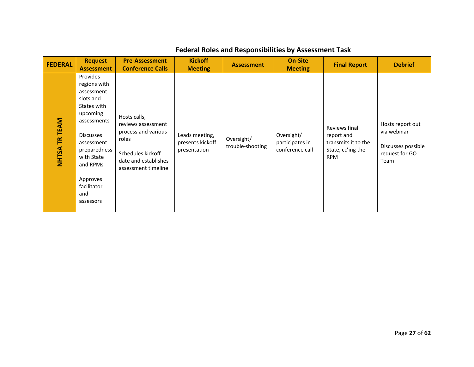| <b>FEDERAL</b>   | <b>Request</b><br><b>Assessment</b>                                                                                                                                                                                      | <b>Pre-Assessment</b><br><b>Conference Calls</b>                                                                                       | <b>Kickoff</b><br><b>Meeting</b>                   | <b>Assessment</b>              | <b>On-Site</b><br><b>Meeting</b>                 | <b>Final Report</b>                                                                   | <b>Debrief</b>                                                                  |
|------------------|--------------------------------------------------------------------------------------------------------------------------------------------------------------------------------------------------------------------------|----------------------------------------------------------------------------------------------------------------------------------------|----------------------------------------------------|--------------------------------|--------------------------------------------------|---------------------------------------------------------------------------------------|---------------------------------------------------------------------------------|
| TR TEAM<br>NHTSA | Provides<br>regions with<br>assessment<br>slots and<br>States with<br>upcoming<br>assessments<br><b>Discusses</b><br>assessment<br>preparedness<br>with State<br>and RPMs<br>Approves<br>facilitator<br>and<br>assessors | Hosts calls,<br>reviews assessment<br>process and various<br>roles<br>Schedules kickoff<br>date and establishes<br>assessment timeline | Leads meeting,<br>presents kickoff<br>presentation | Oversight/<br>trouble-shooting | Oversight/<br>participates in<br>conference call | Reviews final<br>report and<br>transmits it to the<br>State, cc'ing the<br><b>RPM</b> | Hosts report out<br>via webinar<br>Discusses possible<br>request for GO<br>Team |

# **Federal Roles and Responsibilities by Assessment Task**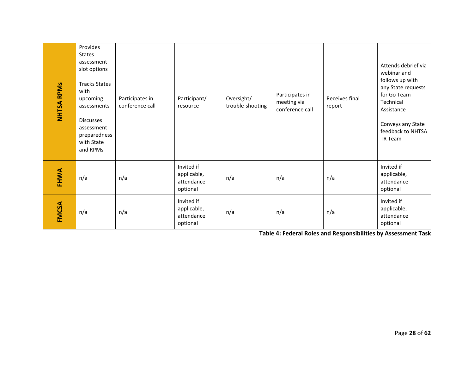| <b>NHTSA RPMS</b> | Provides<br><b>States</b><br>assessment<br>slot options<br><b>Tracks States</b><br>with<br>upcoming<br>assessments<br><b>Discusses</b><br>assessment<br>preparedness<br>with State<br>and RPMs | Participates in<br>conference call | Participant/<br>resource                            | Oversight/<br>trouble-shooting | Participates in<br>meeting via<br>conference call | Receives final<br>report | Attends debrief via<br>webinar and<br>follows up with<br>any State requests<br>for Go Team<br>Technical<br>Assistance<br>Conveys any State<br>feedback to NHTSA<br>TR Team |
|-------------------|------------------------------------------------------------------------------------------------------------------------------------------------------------------------------------------------|------------------------------------|-----------------------------------------------------|--------------------------------|---------------------------------------------------|--------------------------|----------------------------------------------------------------------------------------------------------------------------------------------------------------------------|
| FHWA              | n/a                                                                                                                                                                                            | n/a                                | Invited if<br>applicable,<br>attendance<br>optional | n/a                            | n/a                                               | n/a                      | Invited if<br>applicable,<br>attendance<br>optional                                                                                                                        |
| FMCSA             | n/a                                                                                                                                                                                            | n/a                                | Invited if<br>applicable,<br>attendance<br>optional | n/a                            | n/a                                               | n/a                      | Invited if<br>applicable,<br>attendance<br>optional                                                                                                                        |

<span id="page-30-0"></span>**Table 4: Federal Roles and Responsibilities by Assessment Task**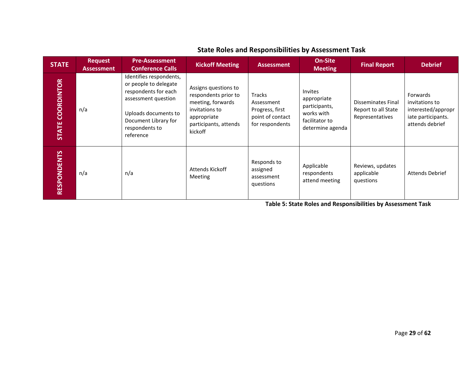| <b>STATE</b>            | <b>Request</b><br><b>Assessment</b> | <b>Pre-Assessment</b><br><b>Conference Calls</b>                                                                                                                               | <b>Kickoff Meeting</b>                                                                                                                 | <b>Assessment</b>                                                              | <b>On-Site</b><br><b>Meeting</b>                                                            | <b>Final Report</b>                                                 | <b>Debrief</b>                                                                            |
|-------------------------|-------------------------------------|--------------------------------------------------------------------------------------------------------------------------------------------------------------------------------|----------------------------------------------------------------------------------------------------------------------------------------|--------------------------------------------------------------------------------|---------------------------------------------------------------------------------------------|---------------------------------------------------------------------|-------------------------------------------------------------------------------------------|
| <b>STATE COORDINTOR</b> | n/a                                 | Identifies respondents,<br>or people to delegate<br>respondents for each<br>assessment question<br>Uploads documents to<br>Document Library for<br>respondents to<br>reference | Assigns questions to<br>respondents prior to<br>meeting, forwards<br>invitations to<br>appropriate<br>participants, attends<br>kickoff | Tracks<br>Assessment<br>Progress, first<br>point of contact<br>for respondents | Invites<br>appropriate<br>participants,<br>works with<br>facilitator to<br>determine agenda | <b>Disseminates Final</b><br>Report to all State<br>Representatives | Forwards<br>invitations to<br>interested/appropr<br>iate participants.<br>attends debrief |
| <b>RESPONDENTS</b>      | n/a                                 | n/a                                                                                                                                                                            | <b>Attends Kickoff</b><br><b>Meeting</b>                                                                                               | Responds to<br>assigned<br>assessment<br>questions                             | Applicable<br>respondents<br>attend meeting                                                 | Reviews, updates<br>applicable<br>questions                         | <b>Attends Debrief</b>                                                                    |

# **State Roles and Responsibilities by Assessment Task**

<span id="page-31-0"></span>**Table 5: State Roles and Responsibilities by Assessment Task**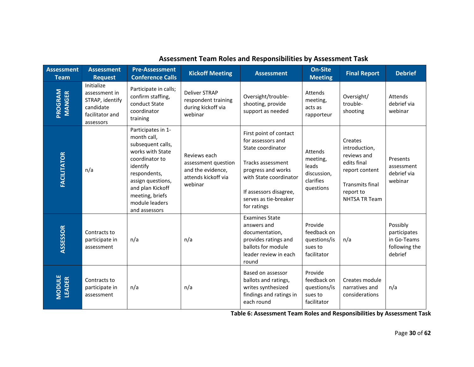| <b>Assessment</b><br><b>Team</b> | <b>Assessment</b><br><b>Request</b>                                                         | <b>Pre-Assessment</b><br><b>Conference Calls</b>                                                                                                                                                                        | <b>Kickoff Meeting</b>                                                                     | <b>Assessment</b>                                                                                                                                                                                       | <b>On-Site</b><br><b>Meeting</b>                                      | <b>Final Report</b>                                                                                                              | <b>Debrief</b>                                                      |
|----------------------------------|---------------------------------------------------------------------------------------------|-------------------------------------------------------------------------------------------------------------------------------------------------------------------------------------------------------------------------|--------------------------------------------------------------------------------------------|---------------------------------------------------------------------------------------------------------------------------------------------------------------------------------------------------------|-----------------------------------------------------------------------|----------------------------------------------------------------------------------------------------------------------------------|---------------------------------------------------------------------|
| PROGRAM<br><b>MANGER</b>         | Initialize<br>assessment in<br>STRAP, identify<br>candidate<br>facilitator and<br>assessors | Participate in calls;<br>confirm staffing,<br>conduct State<br>coordinator<br>training                                                                                                                                  | <b>Deliver STRAP</b><br>respondent training<br>during kickoff via<br>webinar               | Oversight/trouble-<br>shooting, provide<br>support as needed                                                                                                                                            | Attends<br>meeting,<br>acts as<br>rapporteur                          | Oversight/<br>trouble-<br>shooting                                                                                               | Attends<br>debrief via<br>webinar                                   |
| <b>FACILITATOR</b>               | n/a                                                                                         | Participates in 1-<br>month call,<br>subsequent calls,<br>works with State<br>coordinator to<br>identify<br>respondents,<br>assign questions,<br>and plan Kickoff<br>meeting, briefs<br>module leaders<br>and assessors | Reviews each<br>assessment question<br>and the evidence,<br>attends kickoff via<br>webinar | First point of contact<br>for assessors and<br>State coordinator<br>Tracks assessment<br>progress and works<br>with State coordinator<br>If assessors disagree,<br>serves as tie-breaker<br>for ratings | Attends<br>meeting,<br>leads<br>discussion,<br>clarifies<br>questions | Creates<br>introduction,<br>reviews and<br>edits final<br>report content<br><b>Transmits final</b><br>report to<br>NHTSA TR Team | Presents<br>assessment<br>debrief via<br>webinar                    |
| ASSESSOR                         | Contracts to<br>participate in<br>assessment                                                | n/a                                                                                                                                                                                                                     | n/a                                                                                        | <b>Examines State</b><br>answers and<br>documentation,<br>provides ratings and<br>ballots for module<br>leader review in each<br>round                                                                  | Provide<br>feedback on<br>questions/is<br>sues to<br>facilitator      | n/a                                                                                                                              | Possibly<br>participates<br>in Go-Teams<br>following the<br>debrief |
| <b>MODULE</b><br><b>LEADER</b>   | Contracts to<br>participate in<br>assessment                                                | n/a                                                                                                                                                                                                                     | n/a                                                                                        | Based on assessor<br>ballots and ratings,<br>writes synthesized<br>findings and ratings in<br>each round                                                                                                | Provide<br>feedback on<br>questions/is<br>sues to<br>facilitator      | Creates module<br>narratives and<br>considerations                                                                               | n/a                                                                 |

# **Assessment Team Roles and Responsibilities by Assessment Task**

<span id="page-32-0"></span>**Table 6: Assessment Team Roles and Responsibilities by Assessment Task**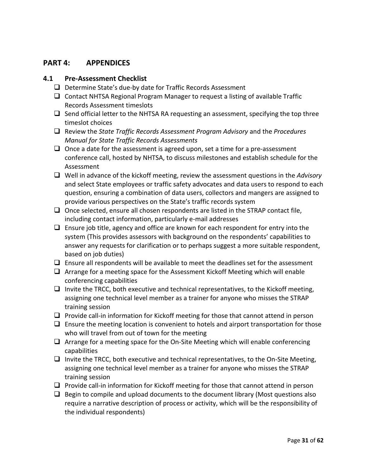# <span id="page-33-0"></span>**PART 4: APPENDICES**

# <span id="page-33-1"></span>**4.1 Pre-Assessment Checklist**

- $\Box$  Determine State's due-by date for Traffic Records Assessment
- $\Box$  Contact NHTSA Regional Program Manager to request a listing of available Traffic Records Assessment timeslots
- $\Box$  Send official letter to the NHTSA RA requesting an assessment, specifying the top three timeslot choices
- Review the *State Traffic Records Assessment Program Advisory* and the *Procedures Manual for State Traffic Records Assessments*
- $\Box$  Once a date for the assessment is agreed upon, set a time for a pre-assessment conference call, hosted by NHTSA, to discuss milestones and establish schedule for the Assessment
- Well in advance of the kickoff meeting, review the assessment questions in the *Advisory*  and select State employees or traffic safety advocates and data users to respond to each question, ensuring a combination of data users, collectors and mangers are assigned to provide various perspectives on the State's traffic records system
- $\Box$  Once selected, ensure all chosen respondents are listed in the STRAP contact file, including contact information, particularly e-mail addresses
- $\Box$  Ensure job title, agency and office are known for each respondent for entry into the system (This provides assessors with background on the respondents' capabilities to answer any requests for clarification or to perhaps suggest a more suitable respondent, based on job duties)
- $\Box$  Ensure all respondents will be available to meet the deadlines set for the assessment
- $\Box$  Arrange for a meeting space for the Assessment Kickoff Meeting which will enable conferencing capabilities
- $\Box$  Invite the TRCC, both executive and technical representatives, to the Kickoff meeting, assigning one technical level member as a trainer for anyone who misses the STRAP training session
- $\Box$  Provide call-in information for Kickoff meeting for those that cannot attend in person
- $\Box$  Ensure the meeting location is convenient to hotels and airport transportation for those who will travel from out of town for the meeting
- $\Box$  Arrange for a meeting space for the On-Site Meeting which will enable conferencing capabilities
- $\Box$  Invite the TRCC, both executive and technical representatives, to the On-Site Meeting, assigning one technical level member as a trainer for anyone who misses the STRAP training session
- $\Box$  Provide call-in information for Kickoff meeting for those that cannot attend in person
- $\Box$  Begin to compile and upload documents to the document library (Most questions also require a narrative description of process or activity, which will be the responsibility of the individual respondents)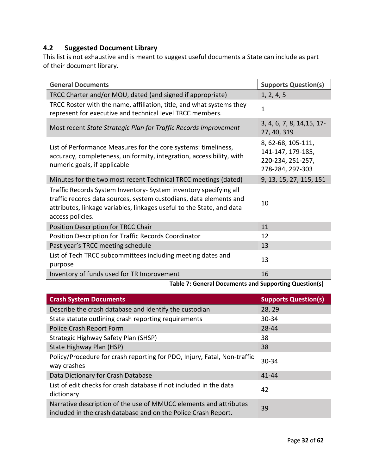# <span id="page-34-0"></span>**4.2 Suggested Document Library**

This list is not exhaustive and is meant to suggest useful documents a State can include as part of their document library.

| <b>General Documents</b>                                                                                                                                                                                                            | <b>Supports Question(s)</b>                                                      |
|-------------------------------------------------------------------------------------------------------------------------------------------------------------------------------------------------------------------------------------|----------------------------------------------------------------------------------|
| TRCC Charter and/or MOU, dated (and signed if appropriate)                                                                                                                                                                          | 1, 2, 4, 5                                                                       |
| TRCC Roster with the name, affiliation, title, and what systems they<br>represent for executive and technical level TRCC members.                                                                                                   | 1                                                                                |
| Most recent State Strategic Plan for Traffic Records Improvement                                                                                                                                                                    | 3, 4, 6, 7, 8, 14, 15, 17-<br>27, 40, 319                                        |
| List of Performance Measures for the core systems: timeliness,<br>accuracy, completeness, uniformity, integration, accessibility, with<br>numeric goals, if applicable                                                              | 8, 62-68, 105-111,<br>141-147, 179-185,<br>220-234, 251-257,<br>278-284, 297-303 |
| Minutes for the two most recent Technical TRCC meetings (dated)                                                                                                                                                                     | 9, 13, 15, 27, 115, 151                                                          |
| Traffic Records System Inventory-System inventory specifying all<br>traffic records data sources, system custodians, data elements and<br>attributes, linkage variables, linkages useful to the State, and data<br>access policies. | 10                                                                               |
| Position Description for TRCC Chair                                                                                                                                                                                                 | 11                                                                               |
| Position Description for Traffic Records Coordinator                                                                                                                                                                                | 12                                                                               |
| Past year's TRCC meeting schedule                                                                                                                                                                                                   | 13                                                                               |
| List of Tech TRCC subcommittees including meeting dates and<br>purpose                                                                                                                                                              | 13                                                                               |
| Inventory of funds used for TR Improvement                                                                                                                                                                                          | 16                                                                               |

**Table 7: General Documents and Supporting Question(s)**

<span id="page-34-1"></span>

| <b>Crash System Documents</b>                                                                                                       | <b>Supports Question(s)</b> |
|-------------------------------------------------------------------------------------------------------------------------------------|-----------------------------|
| Describe the crash database and identify the custodian                                                                              | 28, 29                      |
| State statute outlining crash reporting requirements                                                                                | $30 - 34$                   |
| Police Crash Report Form                                                                                                            | 28-44                       |
| Strategic Highway Safety Plan (SHSP)                                                                                                | 38                          |
| State Highway Plan (HSP)                                                                                                            | 38                          |
| Policy/Procedure for crash reporting for PDO, Injury, Fatal, Non-traffic<br>way crashes                                             | $30 - 34$                   |
| Data Dictionary for Crash Database                                                                                                  | $41 - 44$                   |
| List of edit checks for crash database if not included in the data<br>dictionary                                                    | 42                          |
| Narrative description of the use of MMUCC elements and attributes<br>included in the crash database and on the Police Crash Report. | 39                          |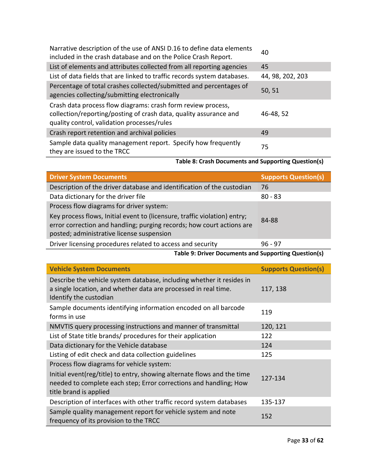| Narrative description of the use of ANSI D.16 to define data elements<br>included in the crash database and on the Police Crash Report. | 40               |
|-----------------------------------------------------------------------------------------------------------------------------------------|------------------|
| List of elements and attributes collected from all reporting agencies                                                                   | 45               |
| List of data fields that are linked to traffic records system databases.                                                                | 44, 98, 202, 203 |
| Percentage of total crashes collected/submitted and percentages of<br>agencies collecting/submitting electronically                     | 50, 51           |
| Crash data process flow diagrams: crash form review process,                                                                            |                  |
| collection/reporting/posting of crash data, quality assurance and<br>quality control, validation processes/rules                        | 46-48, 52        |
| Crash report retention and archival policies                                                                                            | 49               |

# <span id="page-35-0"></span>**Table 8: Crash Documents and Supporting Question(s)**

Ξ

| <b>Driver System Documents</b>                                                                                                                                                                  | <b>Supports Question(s)</b> |  |
|-------------------------------------------------------------------------------------------------------------------------------------------------------------------------------------------------|-----------------------------|--|
| Description of the driver database and identification of the custodian                                                                                                                          | 76                          |  |
| Data dictionary for the driver file                                                                                                                                                             | $80 - 83$                   |  |
| Process flow diagrams for driver system:                                                                                                                                                        |                             |  |
| Key process flows, Initial event to (licensure, traffic violation) entry;<br>error correction and handling; purging records; how court actions are<br>posted; administrative license suspension | 84-88                       |  |
| Driver licensing procedures related to access and security                                                                                                                                      | $96 - 97$                   |  |

**Table 9: Driver Documents and Supporting Question(s)**

<span id="page-35-1"></span>

| <b>Vehicle System Documents</b>                                                                                                                                        | <b>Supports Question(s)</b> |
|------------------------------------------------------------------------------------------------------------------------------------------------------------------------|-----------------------------|
| Describe the vehicle system database, including whether it resides in<br>a single location, and whether data are processed in real time.<br>Identify the custodian     | 117, 138                    |
| Sample documents identifying information encoded on all barcode<br>forms in use                                                                                        | 119                         |
| NMVTIS query processing instructions and manner of transmittal                                                                                                         | 120, 121                    |
| List of State title brands/ procedures for their application                                                                                                           | 122                         |
| Data dictionary for the Vehicle database                                                                                                                               | 124                         |
| Listing of edit check and data collection guidelines                                                                                                                   | 125                         |
| Process flow diagrams for vehicle system:                                                                                                                              |                             |
| Initial event(reg/title) to entry, showing alternate flows and the time<br>needed to complete each step; Error corrections and handling; How<br>title brand is applied | 127-134                     |
| Description of interfaces with other traffic record system databases                                                                                                   | 135-137                     |
| Sample quality management report for vehicle system and note<br>frequency of its provision to the TRCC                                                                 | 152                         |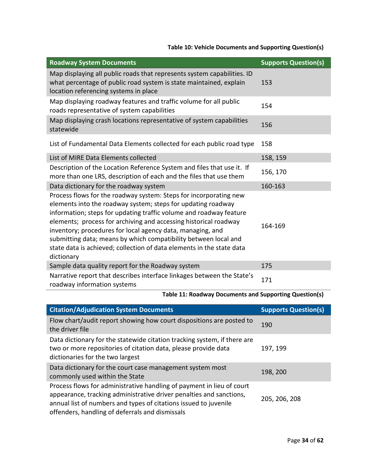# **Table 10: Vehicle Documents and Supporting Question(s)**

<span id="page-36-0"></span>

| <b>Roadway System Documents</b>                                                                                                                                                                                                                                                                                                                                                                                                                                                                     | <b>Supports Question(s)</b> |
|-----------------------------------------------------------------------------------------------------------------------------------------------------------------------------------------------------------------------------------------------------------------------------------------------------------------------------------------------------------------------------------------------------------------------------------------------------------------------------------------------------|-----------------------------|
| Map displaying all public roads that represents system capabilities. ID<br>what percentage of public road system is state maintained, explain<br>location referencing systems in place                                                                                                                                                                                                                                                                                                              | 153                         |
| Map displaying roadway features and traffic volume for all public<br>roads representative of system capabilities                                                                                                                                                                                                                                                                                                                                                                                    | 154                         |
| Map displaying crash locations representative of system capabilities<br>statewide                                                                                                                                                                                                                                                                                                                                                                                                                   | 156                         |
| List of Fundamental Data Elements collected for each public road type                                                                                                                                                                                                                                                                                                                                                                                                                               | 158                         |
| List of MIRE Data Elements collected                                                                                                                                                                                                                                                                                                                                                                                                                                                                | 158, 159                    |
| Description of the Location Reference System and files that use it. If<br>more than one LRS, description of each and the files that use them                                                                                                                                                                                                                                                                                                                                                        | 156, 170                    |
| Data dictionary for the roadway system                                                                                                                                                                                                                                                                                                                                                                                                                                                              | 160-163                     |
| Process flows for the roadway system: Steps for incorporating new<br>elements into the roadway system; steps for updating roadway<br>information; steps for updating traffic volume and roadway feature<br>elements; process for archiving and accessing historical roadway<br>inventory; procedures for local agency data, managing, and<br>submitting data; means by which compatibility between local and<br>state data is achieved; collection of data elements in the state data<br>dictionary | 164-169                     |
| Sample data quality report for the Roadway system                                                                                                                                                                                                                                                                                                                                                                                                                                                   | 175                         |
| Narrative report that describes interface linkages between the State's<br>roadway information systems                                                                                                                                                                                                                                                                                                                                                                                               | 171                         |

# **Table 11: Roadway Documents and Supporting Question(s)**

<span id="page-36-1"></span>

| <b>Citation/Adjudication System Documents</b>                                                                                                                                                                                                                       | <b>Supports Question(s)</b> |  |
|---------------------------------------------------------------------------------------------------------------------------------------------------------------------------------------------------------------------------------------------------------------------|-----------------------------|--|
| Flow chart/audit report showing how court dispositions are posted to<br>the driver file                                                                                                                                                                             | 190                         |  |
| Data dictionary for the statewide citation tracking system, if there are<br>two or more repositories of citation data, please provide data<br>dictionaries for the two largest                                                                                      | 197, 199                    |  |
| Data dictionary for the court case management system most<br>commonly used within the State                                                                                                                                                                         | 198, 200                    |  |
| Process flows for administrative handling of payment in lieu of court<br>appearance, tracking administrative driver penalties and sanctions,<br>annual list of numbers and types of citations issued to juvenile<br>offenders, handling of deferrals and dismissals | 205, 206, 208               |  |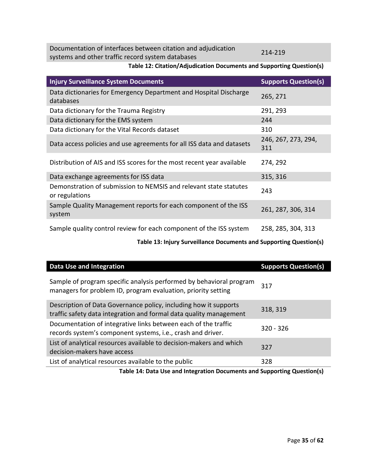Documentation of interfaces between citation and adjudication systems and other traffic record system databases 214-219

<span id="page-37-0"></span>**Table 12: Citation/Adjudication Documents and Supporting Question(s)**

| <b>Injury Surveillance System Documents</b>                                         | <b>Supports Question(s)</b> |
|-------------------------------------------------------------------------------------|-----------------------------|
| Data dictionaries for Emergency Department and Hospital Discharge<br>databases      | 265, 271                    |
| Data dictionary for the Trauma Registry                                             | 291, 293                    |
| Data dictionary for the EMS system                                                  | 244                         |
| Data dictionary for the Vital Records dataset                                       | 310                         |
| Data access policies and use agreements for all ISS data and datasets               | 246, 267, 273, 294,<br>311  |
| Distribution of AIS and ISS scores for the most recent year available               | 274, 292                    |
| Data exchange agreements for ISS data                                               | 315, 316                    |
| Demonstration of submission to NEMSIS and relevant state statutes<br>or regulations | 243                         |
| Sample Quality Management reports for each component of the ISS<br>system           | 261, 287, 306, 314          |
| Sample quality control review for each component of the ISS system                  | 258, 285, 304, 313          |

**Table 13: Injury Surveillance Documents and Supporting Question(s)**

<span id="page-37-1"></span>

| Data Use and Integration                                                                                                               | <b>Supports Question(s)</b> |
|----------------------------------------------------------------------------------------------------------------------------------------|-----------------------------|
| Sample of program specific analysis performed by behavioral program<br>managers for problem ID, program evaluation, priority setting   | 317                         |
| Description of Data Governance policy, including how it supports<br>traffic safety data integration and formal data quality management | 318, 319                    |
| Documentation of integrative links between each of the traffic<br>records system's component systems, i.e., crash and driver.          | $320 - 326$                 |
| List of analytical resources available to decision-makers and which<br>decision-makers have access                                     | 327                         |
| List of analytical resources available to the public                                                                                   | 328                         |

<span id="page-37-2"></span>**Table 14: Data Use and Integration Documents and Supporting Question(s)**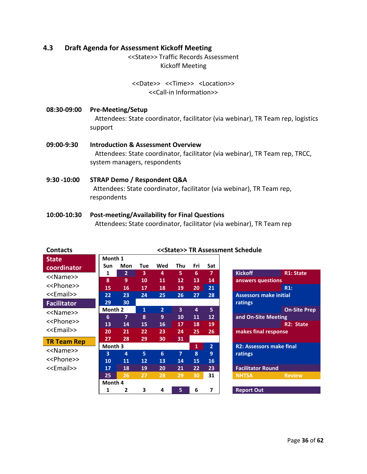#### <span id="page-38-0"></span>**4.3 Draft Agenda for Assessment Kickoff Meeting**

<<State>> Traffic Records Assessment Kickoff Meeting

# <<Date>> <<Time>> <Location>> <<Call-in Information>>

- **08:30-09:00 Pre-Meeting/Setup** Attendees: State coordinator, facilitator (via webinar), TR Team rep, logistics support
- **09:00-9:30 Introduction & Assessment Overview** Attendees: State coordinator, facilitator (via webinar), TR Team rep, TRCC, system managers, respondents
- **9:30 -10:00 STRAP Demo / Respondent Q&A** Attendees: State coordinator, facilitator (via webinar), TR Team rep, respondents
- **10:00-10:30 Post-meeting/Availability for Final Questions** Attendees**:** State coordinator, facilitator (via webinar), TR Team rep

| <b>Contacts</b>       |                         |                |                         |                |                         |              |                 | < <state>&gt; TR Assessment Schedule</state> |
|-----------------------|-------------------------|----------------|-------------------------|----------------|-------------------------|--------------|-----------------|----------------------------------------------|
| <b>State</b>          | Month 1                 |                |                         |                |                         |              |                 |                                              |
| coordinator           | Sun                     | Mon            | Tue                     | Wed            | Thu                     | Fri          | Sat             |                                              |
| < <name>&gt;</name>   | 1                       | $\overline{2}$ | $\overline{\mathbf{3}}$ | 4              | 5                       | 6            | 7               | <b>Kickoff</b><br><b>R1: State</b>           |
| < <phone>&gt;</phone> | 8                       | 9              | 10                      | 11             | 12                      | 13           | 14              | answers questions                            |
|                       | 15                      | 16             | 17                      | 18             | 19                      | 20           | 21              | R1:                                          |
| < <email>&gt;</email> | 22                      | 23             | 24                      | 25             | 26                      | 27           | 28              | <b>Assessors make initial</b>                |
| <b>Facilitator</b>    | 29                      | 30             |                         |                |                         |              |                 | ratings                                      |
| < <name>&gt;</name>   | Month 2                 |                | 1                       | $\overline{2}$ | $\overline{\mathbf{3}}$ | 4            | 5               | <b>On-Site Prep</b>                          |
|                       | 6                       | $\overline{7}$ | 8                       | 9              | 10                      | 11           | 12 <sub>2</sub> | and On-Site Meeting                          |
| < <phone>&gt;</phone> | 13                      | 14             | 15                      | 16             | 17                      | 18           | 19              | <b>R2: State</b>                             |
| < <email>&gt;</email> | 20                      | 21             | 22                      | 23             | 24                      | 25           | 26              | makes final response                         |
| <b>TR Team Rep</b>    | 27                      | 28             | 29                      | 30             | 31                      |              |                 |                                              |
|                       | Month 3                 |                |                         |                |                         | $\mathbf{1}$ | $\overline{2}$  | <b>R2: Assessors make final</b>              |
| < <name>&gt;</name>   | $\overline{\mathbf{3}}$ | $\overline{4}$ | 5                       | 6              | $\overline{7}$          | 8            | 9               | ratings                                      |
| < <phone>&gt;</phone> | 10                      | 11             | 12                      | 13             | 14                      | 15           | <b>16</b>       |                                              |
| < <email>&gt;</email> | 17                      | 18             | 19                      | 20             | 21                      | 22           | 23              | <b>Facilitator Round</b>                     |
|                       | 25                      | 26             | 27                      | 28             | 29                      | 30           | 31              | <b>NHTSA</b><br><b>Review</b>                |
|                       | Month 4                 |                |                         |                |                         |              |                 |                                              |
|                       | 1                       | 2              | 3                       | 4              | 5                       | 6            | 7               | <b>Report Out</b>                            |

## **Contacts <<State>> TR Assessment Schedule**

| <b>Kickoff</b>                  | <b>R1: State</b>    |
|---------------------------------|---------------------|
| answers questions               |                     |
|                                 | R1:                 |
| <b>Assessors make initial</b>   |                     |
| ratings                         |                     |
|                                 | <b>On-Site Prep</b> |
| and On-Site Meeting             |                     |
|                                 | R2: State           |
| makes final response            |                     |
|                                 |                     |
| <b>R2: Assessors make final</b> |                     |
| ratings                         |                     |
|                                 |                     |
| <b>Facilitator Round</b>        |                     |
| <b>NHTSA</b>                    | <b>Review</b>       |
|                                 |                     |
| <b>Report Out</b>               |                     |
|                                 |                     |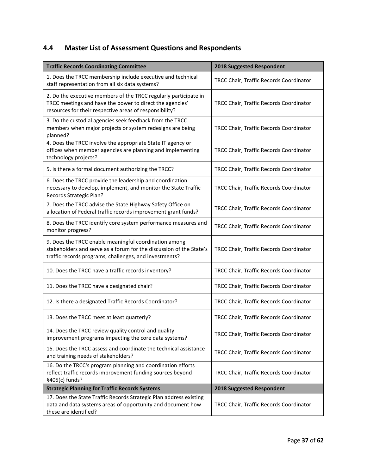# <span id="page-39-0"></span>**4.4 Master List of Assessment Questions and Respondents**

| <b>Traffic Records Coordinating Committee</b>                                                                                                                                           | 2018 Suggested Respondent               |
|-----------------------------------------------------------------------------------------------------------------------------------------------------------------------------------------|-----------------------------------------|
| 1. Does the TRCC membership include executive and technical<br>staff representation from all six data systems?                                                                          | TRCC Chair, Traffic Records Coordinator |
| 2. Do the executive members of the TRCC regularly participate in<br>TRCC meetings and have the power to direct the agencies'<br>resources for their respective areas of responsibility? | TRCC Chair, Traffic Records Coordinator |
| 3. Do the custodial agencies seek feedback from the TRCC<br>members when major projects or system redesigns are being<br>planned?                                                       | TRCC Chair, Traffic Records Coordinator |
| 4. Does the TRCC involve the appropriate State IT agency or<br>offices when member agencies are planning and implementing<br>technology projects?                                       | TRCC Chair, Traffic Records Coordinator |
| 5. Is there a formal document authorizing the TRCC?                                                                                                                                     | TRCC Chair, Traffic Records Coordinator |
| 6. Does the TRCC provide the leadership and coordination<br>necessary to develop, implement, and monitor the State Traffic<br>Records Strategic Plan?                                   | TRCC Chair, Traffic Records Coordinator |
| 7. Does the TRCC advise the State Highway Safety Office on<br>allocation of Federal traffic records improvement grant funds?                                                            | TRCC Chair, Traffic Records Coordinator |
| 8. Does the TRCC identify core system performance measures and<br>monitor progress?                                                                                                     | TRCC Chair, Traffic Records Coordinator |
| 9. Does the TRCC enable meaningful coordination among<br>stakeholders and serve as a forum for the discussion of the State's<br>traffic records programs, challenges, and investments?  | TRCC Chair, Traffic Records Coordinator |
| 10. Does the TRCC have a traffic records inventory?                                                                                                                                     | TRCC Chair, Traffic Records Coordinator |
| 11. Does the TRCC have a designated chair?                                                                                                                                              | TRCC Chair, Traffic Records Coordinator |
| 12. Is there a designated Traffic Records Coordinator?                                                                                                                                  | TRCC Chair, Traffic Records Coordinator |
| 13. Does the TRCC meet at least quarterly?                                                                                                                                              | TRCC Chair, Traffic Records Coordinator |
| 14. Does the TRCC review quality control and quality<br>improvement programs impacting the core data systems?                                                                           | TRCC Chair, Traffic Records Coordinator |
| 15. Does the TRCC assess and coordinate the technical assistance<br>and training needs of stakeholders?                                                                                 | TRCC Chair, Traffic Records Coordinator |
| 16. Do the TRCC's program planning and coordination efforts<br>reflect traffic records improvement funding sources beyond<br>§405(c) funds?                                             | TRCC Chair, Traffic Records Coordinator |
| <b>Strategic Planning for Traffic Records Systems</b>                                                                                                                                   | 2018 Suggested Respondent               |
| 17. Does the State Traffic Records Strategic Plan address existing<br>data and data systems areas of opportunity and document how<br>these are identified?                              | TRCC Chair, Traffic Records Coordinator |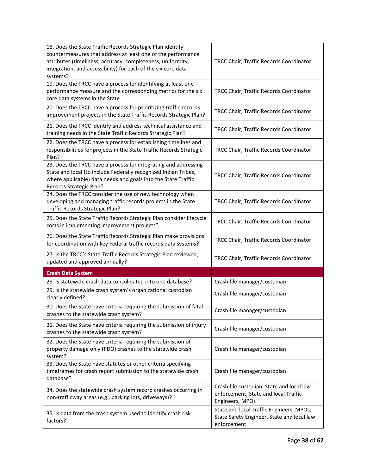| 18. Does the State Traffic Records Strategic Plan identify<br>countermeasures that address at least one of the performance<br>attributes (timeliness, accuracy, completeness, uniformity,<br>integration, and accessibility) for each of the six core data<br>systems? | TRCC Chair, Traffic Records Coordinator                                                               |
|------------------------------------------------------------------------------------------------------------------------------------------------------------------------------------------------------------------------------------------------------------------------|-------------------------------------------------------------------------------------------------------|
| 19. Does the TRCC have a process for identifying at least one                                                                                                                                                                                                          |                                                                                                       |
| performance measure and the corresponding metrics for the six                                                                                                                                                                                                          | TRCC Chair, Traffic Records Coordinator                                                               |
| core data systems in the State                                                                                                                                                                                                                                         |                                                                                                       |
| 20. Does the TRCC have a process for prioritizing traffic records<br>improvement projects in the State Traffic Records Strategic Plan?                                                                                                                                 | TRCC Chair, Traffic Records Coordinator                                                               |
| 21. Does the TRCC identify and address technical assistance and<br>training needs in the State Traffic Records Strategic Plan?                                                                                                                                         | TRCC Chair, Traffic Records Coordinator                                                               |
| 22. Does the TRCC have a process for establishing timelines and<br>responsibilities for projects in the State Traffic Records Strategic<br>Plan?                                                                                                                       | TRCC Chair, Traffic Records Coordinator                                                               |
| 23. Does the TRCC have a process for integrating and addressing<br>State and local (to include Federally recognized Indian Tribes,<br>where applicable) data needs and goals into the State Traffic<br>Records Strategic Plan?                                         | TRCC Chair, Traffic Records Coordinator                                                               |
| 24. Does the TRCC consider the use of new technology when<br>developing and managing traffic records projects in the State<br>Traffic Records Strategic Plan?                                                                                                          | TRCC Chair, Traffic Records Coordinator                                                               |
| 25. Does the State Traffic Records Strategic Plan consider lifecycle<br>costs in implementing improvement projects?                                                                                                                                                    | TRCC Chair, Traffic Records Coordinator                                                               |
| 26. Does the State Traffic Records Strategic Plan make provisions<br>for coordination with key Federal traffic records data systems?                                                                                                                                   | TRCC Chair, Traffic Records Coordinator                                                               |
| 27. Is the TRCC's State Traffic Records Strategic Plan reviewed,<br>updated and approved annually?                                                                                                                                                                     | TRCC Chair, Traffic Records Coordinator                                                               |
| <b>Crash Data System</b>                                                                                                                                                                                                                                               |                                                                                                       |
| 28. Is statewide crash data consolidated into one database?                                                                                                                                                                                                            | Crash file manager/custodian                                                                          |
| 29. Is the statewide crash system's organizational custodian<br>clearly defined?                                                                                                                                                                                       | Crash file manager/custodian                                                                          |
| 30. Does the State have criteria requiring the submission of fatal<br>crashes to the statewide crash system?                                                                                                                                                           | Crash file manager/custodian                                                                          |
| 31. Does the State have criteria requiring the submission of injury<br>crashes to the statewide crash system?                                                                                                                                                          | Crash file manager/custodian                                                                          |
| 32. Does the State have criteria requiring the submission of<br>property damage only (PDO) crashes to the statewide crash<br>system?                                                                                                                                   | Crash file manager/custodian                                                                          |
| 33. Does the State have statutes or other criteria specifying<br>timeframes for crash report submission to the statewide crash<br>database?                                                                                                                            | Crash file manager/custodian                                                                          |
| 34. Does the statewide crash system record crashes occurring in<br>non-trafficway areas (e.g., parking lots, driveways)?                                                                                                                                               | Crash file custodian, State and local law<br>enforcement, State and local Traffic<br>Engineers, MPOs  |
| 35. Is data from the crash system used to identify crash risk<br>factors?                                                                                                                                                                                              | State and local Traffic Engineers, MPOs,<br>State Safety Engineer, State and local law<br>enforcement |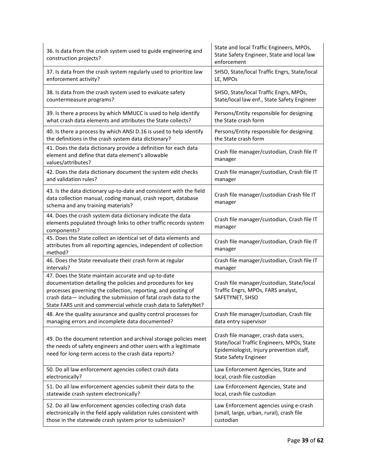| 36. Is data from the crash system used to guide engineering and<br>construction projects?                                                                                                                                                                                                                                | State and local Traffic Engineers, MPOs,<br>State Safety Engineer, State and local law<br>enforcement                                                           |
|--------------------------------------------------------------------------------------------------------------------------------------------------------------------------------------------------------------------------------------------------------------------------------------------------------------------------|-----------------------------------------------------------------------------------------------------------------------------------------------------------------|
| 37. Is data from the crash system regularly used to prioritize law                                                                                                                                                                                                                                                       | SHSO, State/local Traffic Engrs, State/local                                                                                                                    |
| enforcement activity?                                                                                                                                                                                                                                                                                                    | LE, MPOs                                                                                                                                                        |
| 38. Is data from the crash system used to evaluate safety                                                                                                                                                                                                                                                                | SHSO, State/local Traffic Engrs, MPOs,                                                                                                                          |
| countermeasure programs?                                                                                                                                                                                                                                                                                                 | State/local law enf., State Safety Engineer                                                                                                                     |
| 39. Is there a process by which MMUCC is used to help identify                                                                                                                                                                                                                                                           | Persons/Entity responsible for designing                                                                                                                        |
| what crash data elements and attributes the State collects?                                                                                                                                                                                                                                                              | the State crash form                                                                                                                                            |
| 40. Is there a process by which ANSI D.16 is used to help identify                                                                                                                                                                                                                                                       | Persons/Entity responsible for designing                                                                                                                        |
| the definitions in the crash system data dictionary?                                                                                                                                                                                                                                                                     | the State crash form                                                                                                                                            |
| 41. Does the data dictionary provide a definition for each data<br>element and define that data element's allowable<br>values/attributes?                                                                                                                                                                                | Crash file manager/custodian, Crash file IT<br>manager                                                                                                          |
| 42. Does the data dictionary document the system edit checks                                                                                                                                                                                                                                                             | Crash file manager/custodian, Crash file IT                                                                                                                     |
| and validation rules?                                                                                                                                                                                                                                                                                                    | manager                                                                                                                                                         |
| 43. Is the data dictionary up-to-date and consistent with the field<br>data collection manual, coding manual, crash report, database<br>schema and any training materials?                                                                                                                                               | Crash file manager/custodian Crash file IT<br>manager                                                                                                           |
| 44. Does the crash system data dictionary indicate the data<br>elements populated through links to other traffic records system<br>components?                                                                                                                                                                           | Crash file manager/custodian, Crash file IT<br>manager                                                                                                          |
| 45. Does the State collect an identical set of data elements and<br>attributes from all reporting agencies, independent of collection<br>method?                                                                                                                                                                         | Crash file manager/custodian, Crash file IT<br>manager                                                                                                          |
| 46. Does the State reevaluate their crash form at regular                                                                                                                                                                                                                                                                | Crash file manager/custodian, Crash file IT                                                                                                                     |
| intervals?                                                                                                                                                                                                                                                                                                               | manager                                                                                                                                                         |
| 47. Does the State maintain accurate and up-to-date<br>documentation detailing the policies and procedures for key<br>processes governing the collection, reporting, and posting of<br>crash data-including the submission of fatal crash data to the<br>State FARS unit and commercial vehicle crash data to SafetyNet? | Crash file manager/custodian, State/local<br>Traffic Engrs, MPOs, FARS analyst,<br>SAFETYNET, SHSO                                                              |
| 48. Are the quality assurance and quality control processes for                                                                                                                                                                                                                                                          | Crash file manager/custodian, Crash file                                                                                                                        |
| managing errors and incomplete data documented?                                                                                                                                                                                                                                                                          | data entry supervisor                                                                                                                                           |
| 49. Do the document retention and archival storage policies meet<br>the needs of safety engineers and other users with a legitimate<br>need for long-term access to the crash data reports?                                                                                                                              | Crash file manager, crash data users,<br>State/local Traffic Engineers, MPOs, State<br>Epidemiologist, Injury prevention staff,<br><b>State Safety Engineer</b> |
| 50. Do all law enforcement agencies collect crash data                                                                                                                                                                                                                                                                   | Law Enforcement Agencies, State and                                                                                                                             |
| electronically?                                                                                                                                                                                                                                                                                                          | local, crash file custodian                                                                                                                                     |
| 51. Do all law enforcement agencies submit their data to the                                                                                                                                                                                                                                                             | Law Enforcement Agencies, State and                                                                                                                             |
| statewide crash system electronically?                                                                                                                                                                                                                                                                                   | local, crash file custodian                                                                                                                                     |
| 52. Do all law enforcement agencies collecting crash data                                                                                                                                                                                                                                                                | Law Enforcement agencies using e-crash                                                                                                                          |
| electronically in the field apply validation rules consistent with                                                                                                                                                                                                                                                       | (small, large, urban, rural), crash file                                                                                                                        |
| those in the statewide crash system prior to submission?                                                                                                                                                                                                                                                                 | custodian                                                                                                                                                       |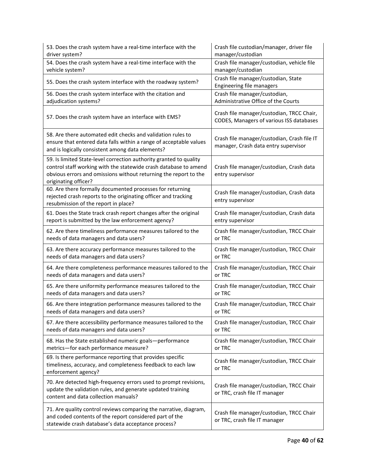| 53. Does the crash system have a real-time interface with the                                                                                                                                                                      | Crash file custodian/manager, driver file                                             |
|------------------------------------------------------------------------------------------------------------------------------------------------------------------------------------------------------------------------------------|---------------------------------------------------------------------------------------|
| driver system?                                                                                                                                                                                                                     | manager/custodian                                                                     |
| 54. Does the crash system have a real-time interface with the                                                                                                                                                                      | Crash file manager/custodian, vehicle file                                            |
| vehicle system?                                                                                                                                                                                                                    | manager/custodian                                                                     |
| 55. Does the crash system interface with the roadway system?                                                                                                                                                                       | Crash file manager/custodian, State<br>Engineering file managers                      |
| 56. Does the crash system interface with the citation and                                                                                                                                                                          | Crash file manager/custodian,                                                         |
| adjudication systems?                                                                                                                                                                                                              | Administrative Office of the Courts                                                   |
| 57. Does the crash system have an interface with EMS?                                                                                                                                                                              | Crash file manager/custodian, TRCC Chair,<br>CODES, Managers of various ISS databases |
| 58. Are there automated edit checks and validation rules to<br>ensure that entered data falls within a range of acceptable values<br>and is logically consistent among data elements?                                              | Crash file manager/custodian, Crash file IT<br>manager, Crash data entry supervisor   |
| 59. Is limited State-level correction authority granted to quality<br>control staff working with the statewide crash database to amend<br>obvious errors and omissions without returning the report to the<br>originating officer? | Crash file manager/custodian, Crash data<br>entry supervisor                          |
| 60. Are there formally documented processes for returning<br>rejected crash reports to the originating officer and tracking<br>resubmission of the report in place?                                                                | Crash file manager/custodian, Crash data<br>entry supervisor                          |
| 61. Does the State track crash report changes after the original                                                                                                                                                                   | Crash file manager/custodian, Crash data                                              |
| report is submitted by the law enforcement agency?                                                                                                                                                                                 | entry supervisor                                                                      |
| 62. Are there timeliness performance measures tailored to the                                                                                                                                                                      | Crash file manager/custodian, TRCC Chair                                              |
| needs of data managers and data users?                                                                                                                                                                                             | or TRC                                                                                |
| 63. Are there accuracy performance measures tailored to the                                                                                                                                                                        | Crash file manager/custodian, TRCC Chair                                              |
| needs of data managers and data users?                                                                                                                                                                                             | or TRC                                                                                |
| 64. Are there completeness performance measures tailored to the                                                                                                                                                                    | Crash file manager/custodian, TRCC Chair                                              |
| needs of data managers and data users?                                                                                                                                                                                             | or TRC                                                                                |
| 65. Are there uniformity performance measures tailored to the                                                                                                                                                                      | Crash file manager/custodian, TRCC Chair                                              |
| needs of data managers and data users?                                                                                                                                                                                             | or TRC                                                                                |
| 66. Are there integration performance measures tailored to the                                                                                                                                                                     | Crash file manager/custodian, TRCC Chair                                              |
| needs of data managers and data users?                                                                                                                                                                                             | or TRC                                                                                |
| 67. Are there accessibility performance measures tailored to the                                                                                                                                                                   | Crash file manager/custodian, TRCC Chair                                              |
| needs of data managers and data users?                                                                                                                                                                                             | or TRC                                                                                |
| 68. Has the State established numeric goals-performance                                                                                                                                                                            | Crash file manager/custodian, TRCC Chair                                              |
| metrics-for each performance measure?                                                                                                                                                                                              | or TRC                                                                                |
| 69. Is there performance reporting that provides specific<br>timeliness, accuracy, and completeness feedback to each law<br>enforcement agency?                                                                                    | Crash file manager/custodian, TRCC Chair<br>or TRC                                    |
| 70. Are detected high-frequency errors used to prompt revisions,<br>update the validation rules, and generate updated training<br>content and data collection manuals?                                                             | Crash file manager/custodian, TRCC Chair<br>or TRC, crash file IT manager             |
| 71. Are quality control reviews comparing the narrative, diagram,<br>and coded contents of the report considered part of the<br>statewide crash database's data acceptance process?                                                | Crash file manager/custodian, TRCC Chair<br>or TRC, crash file IT manager             |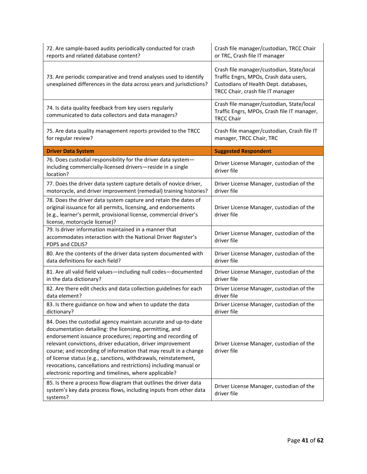| 72. Are sample-based audits periodically conducted for crash<br>reports and related database content?                                                                                                                                                                                                                                                                                                                                                                                                                      | Crash file manager/custodian, TRCC Chair<br>or TRC, Crash file IT manager                                                                                         |
|----------------------------------------------------------------------------------------------------------------------------------------------------------------------------------------------------------------------------------------------------------------------------------------------------------------------------------------------------------------------------------------------------------------------------------------------------------------------------------------------------------------------------|-------------------------------------------------------------------------------------------------------------------------------------------------------------------|
| 73. Are periodic comparative and trend analyses used to identify<br>unexplained differences in the data across years and jurisdictions?                                                                                                                                                                                                                                                                                                                                                                                    | Crash file manager/custodian, State/local<br>Traffic Engrs, MPOs, Crash data users,<br>Custodians of Health Dept. databases,<br>TRCC Chair, crash file IT manager |
| 74. Is data quality feedback from key users regularly<br>communicated to data collectors and data managers?                                                                                                                                                                                                                                                                                                                                                                                                                | Crash file manager/custodian, State/local<br>Traffic Engrs, MPOs, Crash file IT manager,<br><b>TRCC Chair</b>                                                     |
| 75. Are data quality management reports provided to the TRCC<br>for regular review?                                                                                                                                                                                                                                                                                                                                                                                                                                        | Crash file manager/custodian, Crash file IT<br>manager, TRCC Chair, TRC                                                                                           |
| <b>Driver Data System</b>                                                                                                                                                                                                                                                                                                                                                                                                                                                                                                  | <b>Suggested Respondent</b>                                                                                                                                       |
| 76. Does custodial responsibility for the driver data system-<br>including commercially-licensed drivers-reside in a single<br>location?                                                                                                                                                                                                                                                                                                                                                                                   | Driver License Manager, custodian of the<br>driver file                                                                                                           |
| 77. Does the driver data system capture details of novice driver,<br>motorcycle, and driver improvement (remedial) training histories?                                                                                                                                                                                                                                                                                                                                                                                     | Driver License Manager, custodian of the<br>driver file                                                                                                           |
| 78. Does the driver data system capture and retain the dates of<br>original issuance for all permits, licensing, and endorsements<br>(e.g., learner's permit, provisional license, commercial driver's<br>license, motorcycle license)?                                                                                                                                                                                                                                                                                    | Driver License Manager, custodian of the<br>driver file                                                                                                           |
| 79. Is driver information maintained in a manner that<br>accommodates interaction with the National Driver Register's<br>PDPS and CDLIS?                                                                                                                                                                                                                                                                                                                                                                                   | Driver License Manager, custodian of the<br>driver file                                                                                                           |
| 80. Are the contents of the driver data system documented with<br>data definitions for each field?                                                                                                                                                                                                                                                                                                                                                                                                                         | Driver License Manager, custodian of the<br>driver file                                                                                                           |
| 81. Are all valid field values-including null codes-documented<br>in the data dictionary?                                                                                                                                                                                                                                                                                                                                                                                                                                  | Driver License Manager, custodian of the<br>driver file                                                                                                           |
| 82. Are there edit checks and data collection guidelines for each<br>data element?                                                                                                                                                                                                                                                                                                                                                                                                                                         | Driver License Manager, custodian of the<br>driver file                                                                                                           |
| 83. Is there guidance on how and when to update the data<br>dictionary?                                                                                                                                                                                                                                                                                                                                                                                                                                                    | Driver License Manager, custodian of the<br>driver file                                                                                                           |
| 84. Does the custodial agency maintain accurate and up-to-date<br>documentation detailing: the licensing, permitting, and<br>endorsement issuance procedures; reporting and recording of<br>relevant convictions, driver education, driver improvement<br>course; and recording of information that may result in a change<br>of license status (e.g., sanctions, withdrawals, reinstatement,<br>revocations, cancellations and restrictions) including manual or<br>electronic reporting and timelines, where applicable? | Driver License Manager, custodian of the<br>driver file                                                                                                           |
| 85. Is there a process flow diagram that outlines the driver data<br>system's key data process flows, including inputs from other data<br>systems?                                                                                                                                                                                                                                                                                                                                                                         | Driver License Manager, custodian of the<br>driver file                                                                                                           |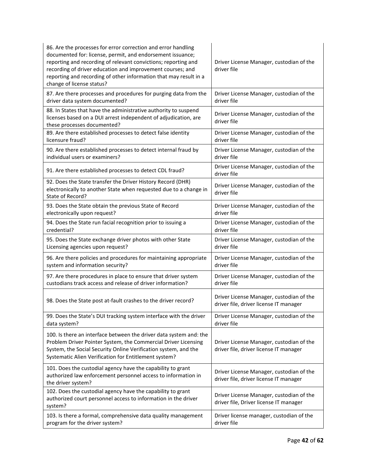| 86. Are the processes for error correction and error handling<br>documented for: license, permit, and endorsement issuance;<br>reporting and recording of relevant convictions; reporting and<br>recording of driver education and improvement courses; and<br>reporting and recording of other information that may result in a<br>change of license status? | Driver License Manager, custodian of the<br>driver file                            |
|---------------------------------------------------------------------------------------------------------------------------------------------------------------------------------------------------------------------------------------------------------------------------------------------------------------------------------------------------------------|------------------------------------------------------------------------------------|
| 87. Are there processes and procedures for purging data from the                                                                                                                                                                                                                                                                                              | Driver License Manager, custodian of the                                           |
| driver data system documented?                                                                                                                                                                                                                                                                                                                                | driver file                                                                        |
| 88. In States that have the administrative authority to suspend<br>licenses based on a DUI arrest independent of adjudication, are<br>these processes documented?                                                                                                                                                                                             | Driver License Manager, custodian of the<br>driver file                            |
| 89. Are there established processes to detect false identity                                                                                                                                                                                                                                                                                                  | Driver License Manager, custodian of the                                           |
| licensure fraud?                                                                                                                                                                                                                                                                                                                                              | driver file                                                                        |
| 90. Are there established processes to detect internal fraud by                                                                                                                                                                                                                                                                                               | Driver License Manager, custodian of the                                           |
| individual users or examiners?                                                                                                                                                                                                                                                                                                                                | driver file                                                                        |
| 91. Are there established processes to detect CDL fraud?                                                                                                                                                                                                                                                                                                      | Driver License Manager, custodian of the<br>driver file                            |
| 92. Does the State transfer the Driver History Record (DHR)<br>electronically to another State when requested due to a change in<br>State of Record?                                                                                                                                                                                                          | Driver License Manager, custodian of the<br>driver file                            |
| 93. Does the State obtain the previous State of Record                                                                                                                                                                                                                                                                                                        | Driver License Manager, custodian of the                                           |
| electronically upon request?                                                                                                                                                                                                                                                                                                                                  | driver file                                                                        |
| 94. Does the State run facial recognition prior to issuing a                                                                                                                                                                                                                                                                                                  | Driver License Manager, custodian of the                                           |
| credential?                                                                                                                                                                                                                                                                                                                                                   | driver file                                                                        |
| 95. Does the State exchange driver photos with other State                                                                                                                                                                                                                                                                                                    | Driver License Manager, custodian of the                                           |
| Licensing agencies upon request?                                                                                                                                                                                                                                                                                                                              | driver file                                                                        |
| 96. Are there policies and procedures for maintaining appropriate                                                                                                                                                                                                                                                                                             | Driver License Manager, custodian of the                                           |
| system and information security?                                                                                                                                                                                                                                                                                                                              | driver file                                                                        |
| 97. Are there procedures in place to ensure that driver system                                                                                                                                                                                                                                                                                                | Driver License Manager, custodian of the                                           |
| custodians track access and release of driver information?                                                                                                                                                                                                                                                                                                    | driver file                                                                        |
| 98. Does the State post at-fault crashes to the driver record?                                                                                                                                                                                                                                                                                                | Driver License Manager, custodian of the<br>driver file, driver license IT manager |
| 99. Does the State's DUI tracking system interface with the driver                                                                                                                                                                                                                                                                                            | Driver License Manager, custodian of the                                           |
| data system?                                                                                                                                                                                                                                                                                                                                                  | driver file                                                                        |
| 100. Is there an interface between the driver data system and: the<br>Problem Driver Pointer System, the Commercial Driver Licensing<br>System, the Social Security Online Verification system, and the<br>Systematic Alien Verification for Entitlement system?                                                                                              | Driver License Manager, custodian of the<br>driver file, driver license IT manager |
| 101. Does the custodial agency have the capability to grant<br>authorized law enforcement personnel access to information in<br>the driver system?                                                                                                                                                                                                            | Driver License Manager, custodian of the<br>driver file, driver license IT manager |
| 102. Does the custodial agency have the capability to grant<br>authorized court personnel access to information in the driver<br>system?                                                                                                                                                                                                                      | Driver License Manager, custodian of the<br>driver file, Driver license IT manager |
| 103. Is there a formal, comprehensive data quality management                                                                                                                                                                                                                                                                                                 | Driver license manager, custodian of the                                           |
| program for the driver system?                                                                                                                                                                                                                                                                                                                                | driver file                                                                        |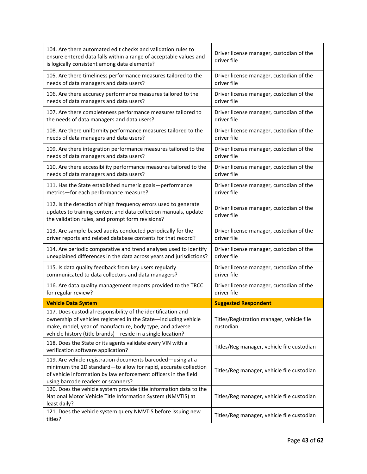| 121. Does the vehicle system query NMVTIS before issuing new<br>titles?                                                                                                                                                                                    | Titles/Reg manager, vehicle file custodian              |
|------------------------------------------------------------------------------------------------------------------------------------------------------------------------------------------------------------------------------------------------------------|---------------------------------------------------------|
| 120. Does the vehicle system provide title information data to the<br>National Motor Vehicle Title Information System (NMVTIS) at<br>least daily?                                                                                                          | Titles/Reg manager, vehicle file custodian              |
| 119. Are vehicle registration documents barcoded-using at a<br>minimum the 2D standard-to allow for rapid, accurate collection<br>of vehicle information by law enforcement officers in the field<br>using barcode readers or scanners?                    | Titles/Reg manager, vehicle file custodian              |
| 118. Does the State or its agents validate every VIN with a<br>verification software application?                                                                                                                                                          | Titles/Reg manager, vehicle file custodian              |
| 117. Does custodial responsibility of the identification and<br>ownership of vehicles registered in the State-including vehicle<br>make, model, year of manufacture, body type, and adverse<br>vehicle history (title brands)-reside in a single location? | Titles/Registration manager, vehicle file<br>custodian  |
| <b>Vehicle Data System</b>                                                                                                                                                                                                                                 | <b>Suggested Respondent</b>                             |
| 116. Are data quality management reports provided to the TRCC                                                                                                                                                                                              | Driver license manager, custodian of the                |
| for regular review?                                                                                                                                                                                                                                        | driver file                                             |
| 115. Is data quality feedback from key users regularly                                                                                                                                                                                                     | Driver license manager, custodian of the                |
| communicated to data collectors and data managers?                                                                                                                                                                                                         | driver file                                             |
| 114. Are periodic comparative and trend analyses used to identify                                                                                                                                                                                          | Driver license manager, custodian of the                |
| unexplained differences in the data across years and jurisdictions?                                                                                                                                                                                        | driver file                                             |
| 113. Are sample-based audits conducted periodically for the                                                                                                                                                                                                | Driver license manager, custodian of the                |
| driver reports and related database contents for that record?                                                                                                                                                                                              | driver file                                             |
| 112. Is the detection of high frequency errors used to generate<br>updates to training content and data collection manuals, update<br>the validation rules, and prompt form revisions?                                                                     | Driver license manager, custodian of the<br>driver file |
| 111. Has the State established numeric goals-performance                                                                                                                                                                                                   | Driver license manager, custodian of the                |
| metrics-for each performance measure?                                                                                                                                                                                                                      | driver file                                             |
| 110. Are there accessibility performance measures tailored to the                                                                                                                                                                                          | Driver license manager, custodian of the                |
| needs of data managers and data users?                                                                                                                                                                                                                     | driver file                                             |
| 109. Are there integration performance measures tailored to the                                                                                                                                                                                            | Driver license manager, custodian of the                |
| needs of data managers and data users?                                                                                                                                                                                                                     | driver file                                             |
| 108. Are there uniformity performance measures tailored to the                                                                                                                                                                                             | Driver license manager, custodian of the                |
| needs of data managers and data users?                                                                                                                                                                                                                     | driver file                                             |
| 107. Are there completeness performance measures tailored to                                                                                                                                                                                               | Driver license manager, custodian of the                |
| the needs of data managers and data users?                                                                                                                                                                                                                 | driver file                                             |
| 106. Are there accuracy performance measures tailored to the                                                                                                                                                                                               | Driver license manager, custodian of the                |
| needs of data managers and data users?                                                                                                                                                                                                                     | driver file                                             |
| 105. Are there timeliness performance measures tailored to the                                                                                                                                                                                             | Driver license manager, custodian of the                |
| needs of data managers and data users?                                                                                                                                                                                                                     | driver file                                             |
| 104. Are there automated edit checks and validation rules to<br>ensure entered data falls within a range of acceptable values and<br>is logically consistent among data elements?                                                                          | Driver license manager, custodian of the<br>driver file |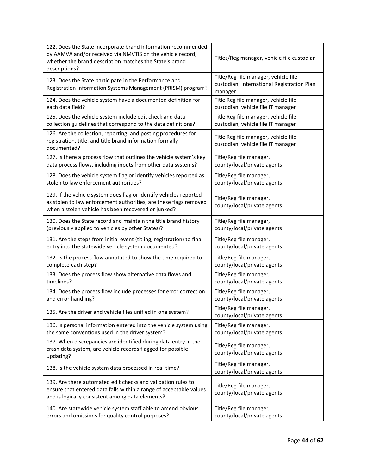| 122. Does the State incorporate brand information recommended<br>by AAMVA and/or received via NMVTIS on the vehicle record,<br>whether the brand description matches the State's brand<br>descriptions? | Titles/Reg manager, vehicle file custodian                                                    |
|---------------------------------------------------------------------------------------------------------------------------------------------------------------------------------------------------------|-----------------------------------------------------------------------------------------------|
| 123. Does the State participate in the Performance and<br>Registration Information Systems Management (PRISM) program?                                                                                  | Title/Reg file manager, vehicle file<br>custodian, International Registration Plan<br>manager |
| 124. Does the vehicle system have a documented definition for                                                                                                                                           | Title Reg file manager, vehicle file                                                          |
| each data field?                                                                                                                                                                                        | custodian, vehicle file IT manager                                                            |
| 125. Does the vehicle system include edit check and data                                                                                                                                                | Title Reg file manager, vehicle file                                                          |
| collection guidelines that correspond to the data definitions?                                                                                                                                          | custodian, vehicle file IT manager                                                            |
| 126. Are the collection, reporting, and posting procedures for<br>registration, title, and title brand information formally<br>documented?                                                              | Title Reg file manager, vehicle file<br>custodian, vehicle file IT manager                    |
| 127. Is there a process flow that outlines the vehicle system's key                                                                                                                                     | Title/Reg file manager,                                                                       |
| data process flows, including inputs from other data systems?                                                                                                                                           | county/local/private agents                                                                   |
| 128. Does the vehicle system flag or identify vehicles reported as                                                                                                                                      | Title/Reg file manager,                                                                       |
| stolen to law enforcement authorities?                                                                                                                                                                  | county/local/private agents                                                                   |
| 129. If the vehicle system does flag or identify vehicles reported<br>as stolen to law enforcement authorities, are these flags removed<br>when a stolen vehicle has been recovered or junked?          | Title/Reg file manager,<br>county/local/private agents                                        |
| 130. Does the State record and maintain the title brand history                                                                                                                                         | Title/Reg file manager,                                                                       |
| (previously applied to vehicles by other States)?                                                                                                                                                       | county/local/private agents                                                                   |
| 131. Are the steps from initial event (titling, registration) to final                                                                                                                                  | Title/Reg file manager,                                                                       |
| entry into the statewide vehicle system documented?                                                                                                                                                     | county/local/private agents                                                                   |
| 132. Is the process flow annotated to show the time required to                                                                                                                                         | Title/Reg file manager,                                                                       |
| complete each step?                                                                                                                                                                                     | county/local/private agents                                                                   |
| 133. Does the process flow show alternative data flows and                                                                                                                                              | Title/Reg file manager,                                                                       |
| timelines?                                                                                                                                                                                              | county/local/private agents                                                                   |
| 134. Does the process flow include processes for error correction                                                                                                                                       | Title/Reg file manager,                                                                       |
| and error handling?                                                                                                                                                                                     | county/local/private agents                                                                   |
| 135. Are the driver and vehicle files unified in one system?                                                                                                                                            | Title/Reg file manager,<br>county/local/private agents                                        |
| 136. Is personal information entered into the vehicle system using                                                                                                                                      | Title/Reg file manager,                                                                       |
| the same conventions used in the driver system?                                                                                                                                                         | county/local/private agents                                                                   |
| 137. When discrepancies are identified during data entry in the<br>crash data system, are vehicle records flagged for possible<br>updating?                                                             | Title/Reg file manager,<br>county/local/private agents                                        |
| 138. Is the vehicle system data processed in real-time?                                                                                                                                                 | Title/Reg file manager,<br>county/local/private agents                                        |
| 139. Are there automated edit checks and validation rules to<br>ensure that entered data falls within a range of acceptable values<br>and is logically consistent among data elements?                  | Title/Reg file manager,<br>county/local/private agents                                        |
| 140. Are statewide vehicle system staff able to amend obvious                                                                                                                                           | Title/Reg file manager,                                                                       |
| errors and omissions for quality control purposes?                                                                                                                                                      | county/local/private agents                                                                   |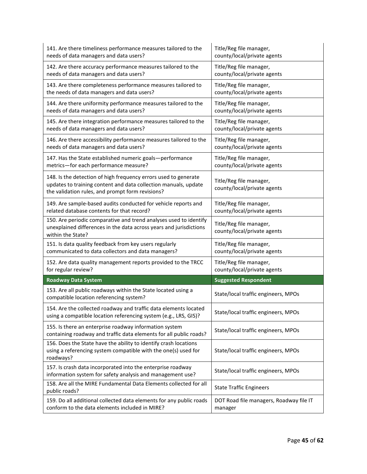| 141. Are there timeliness performance measures tailored to the                                                                                                                         | Title/Reg file manager,                                |
|----------------------------------------------------------------------------------------------------------------------------------------------------------------------------------------|--------------------------------------------------------|
| needs of data managers and data users?                                                                                                                                                 | county/local/private agents                            |
| 142. Are there accuracy performance measures tailored to the                                                                                                                           | Title/Reg file manager,                                |
| needs of data managers and data users?                                                                                                                                                 | county/local/private agents                            |
| 143. Are there completeness performance measures tailored to                                                                                                                           | Title/Reg file manager,                                |
| the needs of data managers and data users?                                                                                                                                             | county/local/private agents                            |
| 144. Are there uniformity performance measures tailored to the                                                                                                                         | Title/Reg file manager,                                |
| needs of data managers and data users?                                                                                                                                                 | county/local/private agents                            |
| 145. Are there integration performance measures tailored to the                                                                                                                        | Title/Reg file manager,                                |
| needs of data managers and data users?                                                                                                                                                 | county/local/private agents                            |
| 146. Are there accessibility performance measures tailored to the                                                                                                                      | Title/Reg file manager,                                |
| needs of data managers and data users?                                                                                                                                                 | county/local/private agents                            |
| 147. Has the State established numeric goals-performance                                                                                                                               | Title/Reg file manager,                                |
| metrics-for each performance measure?                                                                                                                                                  | county/local/private agents                            |
| 148. Is the detection of high frequency errors used to generate<br>updates to training content and data collection manuals, update<br>the validation rules, and prompt form revisions? | Title/Reg file manager,<br>county/local/private agents |
| 149. Are sample-based audits conducted for vehicle reports and                                                                                                                         | Title/Reg file manager,                                |
| related database contents for that record?                                                                                                                                             | county/local/private agents                            |
| 150. Are periodic comparative and trend analyses used to identify<br>unexplained differences in the data across years and jurisdictions<br>within the State?                           | Title/Reg file manager,<br>county/local/private agents |
|                                                                                                                                                                                        |                                                        |
| 151. Is data quality feedback from key users regularly                                                                                                                                 | Title/Reg file manager,                                |
| communicated to data collectors and data managers?                                                                                                                                     | county/local/private agents                            |
| 152. Are data quality management reports provided to the TRCC                                                                                                                          | Title/Reg file manager,                                |
| for regular review?                                                                                                                                                                    | county/local/private agents                            |
| <b>Roadway Data System</b>                                                                                                                                                             | <b>Suggested Respondent</b>                            |
| 153. Are all public roadways within the State located using a<br>compatible location referencing system?                                                                               | State/local traffic engineers, MPOs                    |
| 154. Are the collected roadway and traffic data elements located<br>using a compatible location referencing system (e.g., LRS, GIS)?                                                   | State/local traffic engineers, MPOs                    |
| 155. Is there an enterprise roadway information system<br>containing roadway and traffic data elements for all public roads?                                                           | State/local traffic engineers, MPOs                    |
| 156. Does the State have the ability to identify crash locations<br>using a referencing system compatible with the one(s) used for<br>roadways?                                        | State/local traffic engineers, MPOs                    |
| 157. Is crash data incorporated into the enterprise roadway<br>information system for safety analysis and management use?                                                              | State/local traffic engineers, MPOs                    |
| 158. Are all the MIRE Fundamental Data Elements collected for all<br>public roads?                                                                                                     | <b>State Traffic Engineers</b>                         |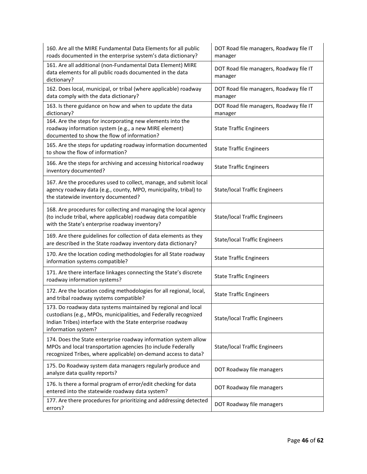| 160. Are all the MIRE Fundamental Data Elements for all public<br>roads documented in the enterprise system's data dictionary?                                                                                         | DOT Road file managers, Roadway file IT<br>manager |
|------------------------------------------------------------------------------------------------------------------------------------------------------------------------------------------------------------------------|----------------------------------------------------|
| 161. Are all additional (non-Fundamental Data Element) MIRE<br>data elements for all public roads documented in the data<br>dictionary?                                                                                | DOT Road file managers, Roadway file IT<br>manager |
| 162. Does local, municipal, or tribal (where applicable) roadway<br>data comply with the data dictionary?                                                                                                              | DOT Road file managers, Roadway file IT<br>manager |
| 163. Is there guidance on how and when to update the data<br>dictionary?                                                                                                                                               | DOT Road file managers, Roadway file IT<br>manager |
| 164. Are the steps for incorporating new elements into the<br>roadway information system (e.g., a new MIRE element)<br>documented to show the flow of information?                                                     | <b>State Traffic Engineers</b>                     |
| 165. Are the steps for updating roadway information documented<br>to show the flow of information?                                                                                                                     | <b>State Traffic Engineers</b>                     |
| 166. Are the steps for archiving and accessing historical roadway<br>inventory documented?                                                                                                                             | <b>State Traffic Engineers</b>                     |
| 167. Are the procedures used to collect, manage, and submit local<br>agency roadway data (e.g., county, MPO, municipality, tribal) to<br>the statewide inventory documented?                                           | <b>State/local Traffic Engineers</b>               |
| 168. Are procedures for collecting and managing the local agency<br>(to include tribal, where applicable) roadway data compatible<br>with the State's enterprise roadway inventory?                                    | <b>State/local Traffic Engineers</b>               |
| 169. Are there guidelines for collection of data elements as they<br>are described in the State roadway inventory data dictionary?                                                                                     | <b>State/local Traffic Engineers</b>               |
| 170. Are the location coding methodologies for all State roadway<br>information systems compatible?                                                                                                                    | <b>State Traffic Engineers</b>                     |
| 171. Are there interface linkages connecting the State's discrete<br>roadway information systems?                                                                                                                      | <b>State Traffic Engineers</b>                     |
| 172. Are the location coding methodologies for all regional, local,<br>and tribal roadway systems compatible?                                                                                                          | <b>State Traffic Engineers</b>                     |
| 173. Do roadway data systems maintained by regional and local<br>custodians (e.g., MPOs, municipalities, and Federally recognized<br>Indian Tribes) interface with the State enterprise roadway<br>information system? | <b>State/local Traffic Engineers</b>               |
| 174. Does the State enterprise roadway information system allow<br>MPOs and local transportation agencies (to include Federally<br>recognized Tribes, where applicable) on-demand access to data?                      | <b>State/local Traffic Engineers</b>               |
| 175. Do Roadway system data managers regularly produce and<br>analyze data quality reports?                                                                                                                            | DOT Roadway file managers                          |
| 176. Is there a formal program of error/edit checking for data<br>entered into the statewide roadway data system?                                                                                                      | DOT Roadway file managers                          |
| 177. Are there procedures for prioritizing and addressing detected<br>errors?                                                                                                                                          | DOT Roadway file managers                          |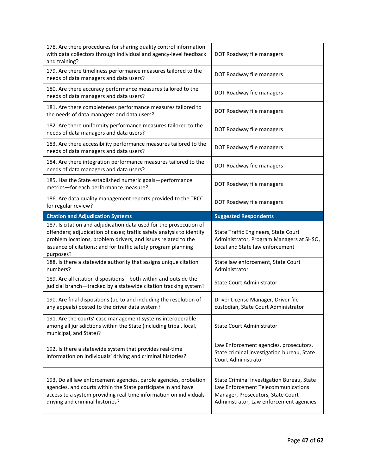| 178. Are there procedures for sharing quality control information<br>with data collectors through individual and agency-level feedback<br>and training?                                                               | DOT Roadway file managers                                                                                           |
|-----------------------------------------------------------------------------------------------------------------------------------------------------------------------------------------------------------------------|---------------------------------------------------------------------------------------------------------------------|
| 179. Are there timeliness performance measures tailored to the<br>needs of data managers and data users?                                                                                                              | DOT Roadway file managers                                                                                           |
| 180. Are there accuracy performance measures tailored to the<br>needs of data managers and data users?                                                                                                                | DOT Roadway file managers                                                                                           |
| 181. Are there completeness performance measures tailored to<br>the needs of data managers and data users?                                                                                                            | DOT Roadway file managers                                                                                           |
| 182. Are there uniformity performance measures tailored to the<br>needs of data managers and data users?                                                                                                              | DOT Roadway file managers                                                                                           |
| 183. Are there accessibility performance measures tailored to the<br>needs of data managers and data users?                                                                                                           | DOT Roadway file managers                                                                                           |
| 184. Are there integration performance measures tailored to the<br>needs of data managers and data users?                                                                                                             | DOT Roadway file managers                                                                                           |
| 185. Has the State established numeric goals-performance<br>metrics-for each performance measure?                                                                                                                     | DOT Roadway file managers                                                                                           |
| 186. Are data quality management reports provided to the TRCC<br>for regular review?                                                                                                                                  | DOT Roadway file managers                                                                                           |
| <b>Citation and Adjudication Systems</b>                                                                                                                                                                              | <b>Suggested Respondents</b>                                                                                        |
| 187. Is citation and adjudication data used for the prosecution of                                                                                                                                                    |                                                                                                                     |
| offenders; adjudication of cases; traffic safety analysis to identify<br>problem locations, problem drivers, and issues related to the<br>issuance of citations; and for traffic safety program planning<br>purposes? | State Traffic Engineers, State Court<br>Administrator, Program Managers at SHSO,<br>Local and State law enforcement |
| 188. Is there a statewide authority that assigns unique citation<br>numbers?                                                                                                                                          | State law enforcement, State Court<br>Administrator                                                                 |
| 189. Are all citation dispositions-both within and outside the<br>judicial branch-tracked by a statewide citation tracking system?                                                                                    | <b>State Court Administrator</b>                                                                                    |
| 190. Are final dispositions (up to and including the resolution of<br>any appeals) posted to the driver data system?                                                                                                  | Driver License Manager, Driver file<br>custodian, State Court Administrator                                         |
| 191. Are the courts' case management systems interoperable<br>among all jurisdictions within the State (including tribal, local,<br>municipal, and State)?                                                            | <b>State Court Administrator</b>                                                                                    |
| 192. Is there a statewide system that provides real-time<br>information on individuals' driving and criminal histories?                                                                                               | Law Enforcement agencies, prosecutors,<br>State criminal investigation bureau, State<br>Court Administrator         |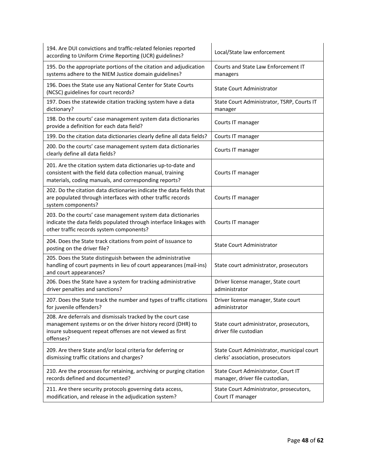| 194. Are DUI convictions and traffic-related felonies reported<br>according to Uniform Crime Reporting (UCR) guidelines?                                                                             | Local/State law enforcement                                                    |
|------------------------------------------------------------------------------------------------------------------------------------------------------------------------------------------------------|--------------------------------------------------------------------------------|
| 195. Do the appropriate portions of the citation and adjudication<br>systems adhere to the NIEM Justice domain guidelines?                                                                           | Courts and State Law Enforcement IT<br>managers                                |
| 196. Does the State use any National Center for State Courts<br>(NCSC) guidelines for court records?                                                                                                 | <b>State Court Administrator</b>                                               |
| 197. Does the statewide citation tracking system have a data<br>dictionary?                                                                                                                          | State Court Administrator, TSRP, Courts IT<br>manager                          |
| 198. Do the courts' case management system data dictionaries<br>provide a definition for each data field?                                                                                            | Courts IT manager                                                              |
| 199. Do the citation data dictionaries clearly define all data fields?                                                                                                                               | Courts IT manager                                                              |
| 200. Do the courts' case management system data dictionaries<br>clearly define all data fields?                                                                                                      | Courts IT manager                                                              |
| 201. Are the citation system data dictionaries up-to-date and<br>consistent with the field data collection manual, training<br>materials, coding manuals, and corresponding reports?                 | Courts IT manager                                                              |
| 202. Do the citation data dictionaries indicate the data fields that<br>are populated through interfaces with other traffic records<br>system components?                                            | Courts IT manager                                                              |
| 203. Do the courts' case management system data dictionaries<br>indicate the data fields populated through interface linkages with<br>other traffic records system components?                       | Courts IT manager                                                              |
| 204. Does the State track citations from point of issuance to<br>posting on the driver file?                                                                                                         | <b>State Court Administrator</b>                                               |
| 205. Does the State distinguish between the administrative<br>handling of court payments in lieu of court appearances (mail-ins)<br>and court appearances?                                           | State court administrator, prosecutors                                         |
| 206. Does the State have a system for tracking administrative<br>driver penalties and sanctions?                                                                                                     | Driver license manager, State court<br>administrator                           |
| 207. Does the State track the number and types of traffic citations<br>for juvenile offenders?                                                                                                       | Driver license manager, State court<br>administrator                           |
| 208. Are deferrals and dismissals tracked by the court case<br>management systems or on the driver history record (DHR) to<br>insure subsequent repeat offenses are not viewed as first<br>offenses? | State court administrator, prosecutors,<br>driver file custodian               |
| 209. Are there State and/or local criteria for deferring or<br>dismissing traffic citations and charges?                                                                                             | State Court Administrator, municipal court<br>clerks' association, prosecutors |
| 210. Are the processes for retaining, archiving or purging citation<br>records defined and documented?                                                                                               | State Court Administrator, Court IT<br>manager, driver file custodian,         |
| 211. Are there security protocols governing data access,<br>modification, and release in the adjudication system?                                                                                    | State Court Administrator, prosecutors,<br>Court IT manager                    |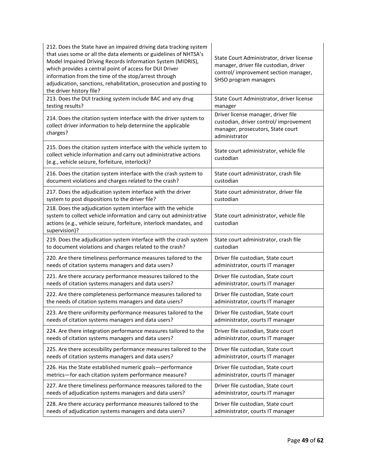| 212. Does the State have an impaired driving data tracking system<br>that uses some or all the data elements or guidelines of NHTSA's<br>Model Impaired Driving Records Information System (MIDRIS),<br>which provides a central point of access for DUI Driver<br>information from the time of the stop/arrest through<br>adjudication, sanctions, rehabilitation, prosecution and posting to<br>the driver history file? | State Court Administrator, driver license<br>manager, driver file custodian, driver<br>control/ improvement section manager,<br>SHSO program managers |
|----------------------------------------------------------------------------------------------------------------------------------------------------------------------------------------------------------------------------------------------------------------------------------------------------------------------------------------------------------------------------------------------------------------------------|-------------------------------------------------------------------------------------------------------------------------------------------------------|
| 213. Does the DUI tracking system include BAC and any drug                                                                                                                                                                                                                                                                                                                                                                 | State Court Administrator, driver license                                                                                                             |
| testing results?                                                                                                                                                                                                                                                                                                                                                                                                           | manager                                                                                                                                               |
| 214. Does the citation system interface with the driver system to<br>collect driver information to help determine the applicable<br>charges?                                                                                                                                                                                                                                                                               | Driver license manager, driver file<br>custodian, driver control/ improvement<br>manager, prosecutors, State court<br>administrator                   |
| 215. Does the citation system interface with the vehicle system to<br>collect vehicle information and carry out administrative actions<br>(e.g., vehicle seizure, forfeiture, interlock)?                                                                                                                                                                                                                                  | State court administrator, vehicle file<br>custodian                                                                                                  |
| 216. Does the citation system interface with the crash system to                                                                                                                                                                                                                                                                                                                                                           | State court administrator, crash file                                                                                                                 |
| document violations and charges related to the crash?                                                                                                                                                                                                                                                                                                                                                                      | custodian                                                                                                                                             |
| 217. Does the adjudication system interface with the driver                                                                                                                                                                                                                                                                                                                                                                | State court administrator, driver file                                                                                                                |
| system to post dispositions to the driver file?                                                                                                                                                                                                                                                                                                                                                                            | custodian                                                                                                                                             |
| 218. Does the adjudication system interface with the vehicle<br>system to collect vehicle information and carry out administrative<br>actions (e.g., vehicle seizure, forfeiture, interlock mandates, and<br>supervision)?                                                                                                                                                                                                 | State court administrator, vehicle file<br>custodian                                                                                                  |
| 219. Does the adjudication system interface with the crash system                                                                                                                                                                                                                                                                                                                                                          | State court administrator, crash file                                                                                                                 |
| to document violations and charges related to the crash?                                                                                                                                                                                                                                                                                                                                                                   | custodian                                                                                                                                             |
| 220. Are there timeliness performance measures tailored to the                                                                                                                                                                                                                                                                                                                                                             | Driver file custodian, State court                                                                                                                    |
| needs of citation systems managers and data users?                                                                                                                                                                                                                                                                                                                                                                         | administrator, courts IT manager                                                                                                                      |
| 221. Are there accuracy performance measures tailored to the                                                                                                                                                                                                                                                                                                                                                               | Driver file custodian, State court                                                                                                                    |
| needs of citation systems managers and data users?                                                                                                                                                                                                                                                                                                                                                                         | administrator, courts IT manager                                                                                                                      |
| 222. Are there completeness performance measures tailored to                                                                                                                                                                                                                                                                                                                                                               | Driver file custodian, State court                                                                                                                    |
| the needs of citation systems managers and data users?                                                                                                                                                                                                                                                                                                                                                                     | administrator, courts IT manager                                                                                                                      |
| 223. Are there uniformity performance measures tailored to the                                                                                                                                                                                                                                                                                                                                                             | Driver file custodian, State court                                                                                                                    |
| needs of citation systems managers and data users?                                                                                                                                                                                                                                                                                                                                                                         | administrator, courts IT manager                                                                                                                      |
| 224. Are there integration performance measures tailored to the                                                                                                                                                                                                                                                                                                                                                            | Driver file custodian, State court                                                                                                                    |
| needs of citation systems managers and data users?                                                                                                                                                                                                                                                                                                                                                                         | administrator, courts IT manager                                                                                                                      |
| 225. Are there accessibility performance measures tailored to the                                                                                                                                                                                                                                                                                                                                                          | Driver file custodian, State court                                                                                                                    |
| needs of citation systems managers and data users?                                                                                                                                                                                                                                                                                                                                                                         | administrator, courts IT manager                                                                                                                      |
| 226. Has the State established numeric goals-performance                                                                                                                                                                                                                                                                                                                                                                   | Driver file custodian, State court                                                                                                                    |
| metrics-for each citation system performance measure?                                                                                                                                                                                                                                                                                                                                                                      | administrator, courts IT manager                                                                                                                      |
| 227. Are there timeliness performance measures tailored to the                                                                                                                                                                                                                                                                                                                                                             | Driver file custodian, State court                                                                                                                    |
| needs of adjudication systems managers and data users?                                                                                                                                                                                                                                                                                                                                                                     | administrator, courts IT manager                                                                                                                      |
| 228. Are there accuracy performance measures tailored to the                                                                                                                                                                                                                                                                                                                                                               | Driver file custodian, State court                                                                                                                    |
| needs of adjudication systems managers and data users?                                                                                                                                                                                                                                                                                                                                                                     | administrator, courts IT manager                                                                                                                      |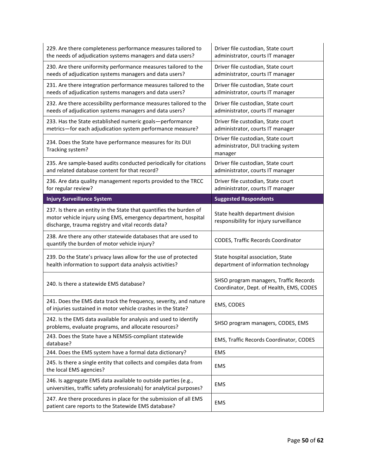| 229. Are there completeness performance measures tailored to<br>the needs of adjudication systems managers and data users?                                                                 | Driver file custodian, State court<br>administrator, courts IT manager              |
|--------------------------------------------------------------------------------------------------------------------------------------------------------------------------------------------|-------------------------------------------------------------------------------------|
| 230. Are there uniformity performance measures tailored to the<br>needs of adjudication systems managers and data users?                                                                   | Driver file custodian, State court<br>administrator, courts IT manager              |
| 231. Are there integration performance measures tailored to the<br>needs of adjudication systems managers and data users?                                                                  | Driver file custodian, State court<br>administrator, courts IT manager              |
| 232. Are there accessibility performance measures tailored to the<br>needs of adjudication systems managers and data users?                                                                | Driver file custodian, State court<br>administrator, courts IT manager              |
| 233. Has the State established numeric goals-performance<br>metrics-for each adjudication system performance measure?                                                                      | Driver file custodian, State court<br>administrator, courts IT manager              |
| 234. Does the State have performance measures for its DUI<br>Tracking system?                                                                                                              | Driver file custodian, State court<br>administrator, DUI tracking system<br>manager |
| 235. Are sample-based audits conducted periodically for citations<br>and related database content for that record?                                                                         | Driver file custodian, State court<br>administrator, courts IT manager              |
| 236. Are data quality management reports provided to the TRCC<br>for regular review?                                                                                                       | Driver file custodian, State court<br>administrator, courts IT manager              |
| <b>Injury Surveillance System</b>                                                                                                                                                          | <b>Suggested Respondents</b>                                                        |
| 237. Is there an entity in the State that quantifies the burden of<br>motor vehicle injury using EMS, emergency department, hospital<br>discharge, trauma registry and vital records data? | State health department division<br>responsibility for injury surveillance          |
|                                                                                                                                                                                            |                                                                                     |
| 238. Are there any other statewide databases that are used to<br>quantify the burden of motor vehicle injury?                                                                              | CODES, Traffic Records Coordinator                                                  |
| 239. Do the State's privacy laws allow for the use of protected<br>health information to support data analysis activities?                                                                 | State hospital association, State<br>department of information technology           |
| 240. Is there a statewide EMS database?                                                                                                                                                    | SHSO program managers, Traffic Records<br>Coordinator, Dept. of Health, EMS, CODES  |
| 241. Does the EMS data track the frequency, severity, and nature<br>of injuries sustained in motor vehicle crashes in the State?                                                           | EMS, CODES                                                                          |
| 242. Is the EMS data available for analysis and used to identify<br>problems, evaluate programs, and allocate resources?                                                                   | SHSO program managers, CODES, EMS                                                   |
| 243. Does the State have a NEMSIS-compliant statewide<br>database?                                                                                                                         | EMS, Traffic Records Coordinator, CODES                                             |
| 244. Does the EMS system have a formal data dictionary?                                                                                                                                    | <b>EMS</b>                                                                          |
| 245. Is there a single entity that collects and compiles data from<br>the local EMS agencies?                                                                                              | EMS                                                                                 |
| 246. Is aggregate EMS data available to outside parties (e.g.,<br>universities, traffic safety professionals) for analytical purposes?                                                     | <b>EMS</b>                                                                          |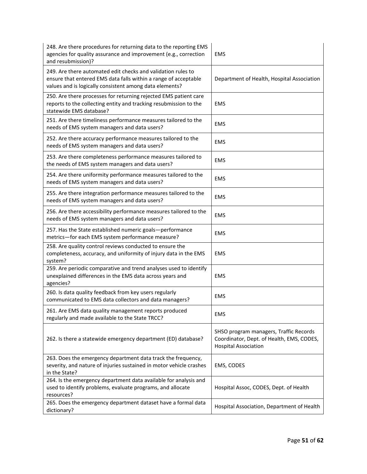| 248. Are there procedures for returning data to the reporting EMS<br>agencies for quality assurance and improvement (e.g., correction<br>and resubmission)?                                | EMS                                                                                                                |
|--------------------------------------------------------------------------------------------------------------------------------------------------------------------------------------------|--------------------------------------------------------------------------------------------------------------------|
| 249. Are there automated edit checks and validation rules to<br>ensure that entered EMS data falls within a range of acceptable<br>values and is logically consistent among data elements? | Department of Health, Hospital Association                                                                         |
| 250. Are there processes for returning rejected EMS patient care<br>reports to the collecting entity and tracking resubmission to the<br>statewide EMS database?                           | <b>EMS</b>                                                                                                         |
| 251. Are there timeliness performance measures tailored to the<br>needs of EMS system managers and data users?                                                                             | <b>EMS</b>                                                                                                         |
| 252. Are there accuracy performance measures tailored to the<br>needs of EMS system managers and data users?                                                                               | <b>EMS</b>                                                                                                         |
| 253. Are there completeness performance measures tailored to<br>the needs of EMS system managers and data users?                                                                           | <b>EMS</b>                                                                                                         |
| 254. Are there uniformity performance measures tailored to the<br>needs of EMS system managers and data users?                                                                             | <b>EMS</b>                                                                                                         |
| 255. Are there integration performance measures tailored to the<br>needs of EMS system managers and data users?                                                                            | <b>EMS</b>                                                                                                         |
| 256. Are there accessibility performance measures tailored to the<br>needs of EMS system managers and data users?                                                                          | <b>EMS</b>                                                                                                         |
| 257. Has the State established numeric goals-performance<br>metrics-for each EMS system performance measure?                                                                               | <b>EMS</b>                                                                                                         |
| 258. Are quality control reviews conducted to ensure the<br>completeness, accuracy, and uniformity of injury data in the EMS<br>system?                                                    | <b>EMS</b>                                                                                                         |
| 259. Are periodic comparative and trend analyses used to identify<br>unexplained differences in the EMS data across years and<br>agencies?                                                 | <b>EMS</b>                                                                                                         |
| 260. Is data quality feedback from key users regularly<br>communicated to EMS data collectors and data managers?                                                                           | <b>EMS</b>                                                                                                         |
| 261. Are EMS data quality management reports produced<br>regularly and made available to the State TRCC?                                                                                   | <b>EMS</b>                                                                                                         |
| 262. Is there a statewide emergency department (ED) database?                                                                                                                              | SHSO program managers, Traffic Records<br>Coordinator, Dept. of Health, EMS, CODES,<br><b>Hospital Association</b> |
| 263. Does the emergency department data track the frequency,<br>severity, and nature of injuries sustained in motor vehicle crashes<br>in the State?                                       | EMS, CODES                                                                                                         |
| 264. Is the emergency department data available for analysis and<br>used to identify problems, evaluate programs, and allocate<br>resources?                                               | Hospital Assoc, CODES, Dept. of Health                                                                             |
| 265. Does the emergency department dataset have a formal data<br>dictionary?                                                                                                               | Hospital Association, Department of Health                                                                         |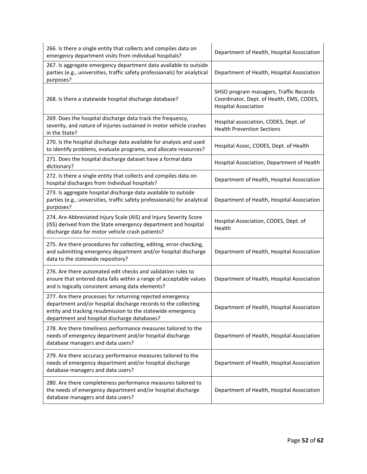| 266. Is there a single entity that collects and compiles data on<br>emergency department visits from individual hospitals?                                                                                                                 | Department of Health, Hospital Association                                                                         |
|--------------------------------------------------------------------------------------------------------------------------------------------------------------------------------------------------------------------------------------------|--------------------------------------------------------------------------------------------------------------------|
| 267. Is aggregate emergency department data available to outside<br>parties (e.g., universities, traffic safety professionals) for analytical<br>purposes?                                                                                 | Department of Health, Hospital Association                                                                         |
| 268. Is there a statewide hospital discharge database?                                                                                                                                                                                     | SHSO program managers, Traffic Records<br>Coordinator, Dept. of Health, EMS, CODES,<br><b>Hospital Association</b> |
| 269. Does the hospital discharge data track the frequency,<br>severity, and nature of injuries sustained in motor vehicle crashes<br>in the State?                                                                                         | Hospital association, CODES, Dept. of<br><b>Health Prevention Sections</b>                                         |
| 270. Is the hospital discharge data available for analysis and used<br>to identify problems, evaluate programs, and allocate resources?                                                                                                    | Hospital Assoc, CODES, Dept. of Health                                                                             |
| 271. Does the hospital discharge dataset have a formal data<br>dictionary?                                                                                                                                                                 | Hospital Association, Department of Health                                                                         |
| 272. Is there a single entity that collects and compiles data on<br>hospital discharges from individual hospitals?                                                                                                                         | Department of Health, Hospital Association                                                                         |
| 273. Is aggregate hospital discharge data available to outside<br>parties (e.g., universities, traffic safety professionals) for analytical<br>purposes?                                                                                   | Department of Health, Hospital Association                                                                         |
| 274. Are Abbreviated Injury Scale (AIS) and Injury Severity Score<br>(ISS) derived from the State emergency department and hospital<br>discharge data for motor vehicle crash patients?                                                    | Hospital Association, CODES, Dept. of<br>Health                                                                    |
| 275. Are there procedures for collecting, editing, error-checking,<br>and submitting emergency department and/or hospital discharge<br>data to the statewide repository?                                                                   | Department of Health, Hospital Association                                                                         |
| 276. Are there automated edit checks and validation rules to<br>ensure that entered data falls within a range of acceptable values<br>and is logically consistent among data elements?                                                     | Department of Health, Hospital Association                                                                         |
| 277. Are there processes for returning rejected emergency<br>department and/or hospital discharge records to the collecting<br>entity and tracking resubmission to the statewide emergency<br>department and hospital discharge databases? | Department of Health, Hospital Association                                                                         |
| 278. Are there timeliness performance measures tailored to the<br>needs of emergency department and/or hospital discharge<br>database managers and data users?                                                                             | Department of Health, Hospital Association                                                                         |
| 279. Are there accuracy performance measures tailored to the<br>needs of emergency department and/or hospital discharge<br>database managers and data users?                                                                               | Department of Health, Hospital Association                                                                         |
| 280. Are there completeness performance measures tailored to<br>the needs of emergency department and/or hospital discharge<br>database managers and data users?                                                                           | Department of Health, Hospital Association                                                                         |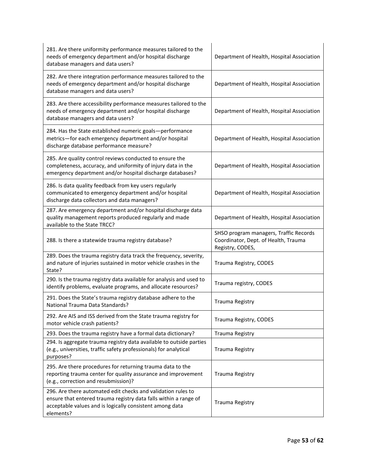| 281. Are there uniformity performance measures tailored to the<br>needs of emergency department and/or hospital discharge<br>database managers and data users?                                            | Department of Health, Hospital Association                                                         |
|-----------------------------------------------------------------------------------------------------------------------------------------------------------------------------------------------------------|----------------------------------------------------------------------------------------------------|
| 282. Are there integration performance measures tailored to the<br>needs of emergency department and/or hospital discharge<br>database managers and data users?                                           | Department of Health, Hospital Association                                                         |
| 283. Are there accessibility performance measures tailored to the<br>needs of emergency department and/or hospital discharge<br>database managers and data users?                                         | Department of Health, Hospital Association                                                         |
| 284. Has the State established numeric goals-performance<br>metrics-for each emergency department and/or hospital<br>discharge database performance measure?                                              | Department of Health, Hospital Association                                                         |
| 285. Are quality control reviews conducted to ensure the<br>completeness, accuracy, and uniformity of injury data in the<br>emergency department and/or hospital discharge databases?                     | Department of Health, Hospital Association                                                         |
| 286. Is data quality feedback from key users regularly<br>communicated to emergency department and/or hospital<br>discharge data collectors and data managers?                                            | Department of Health, Hospital Association                                                         |
| 287. Are emergency department and/or hospital discharge data<br>quality management reports produced regularly and made<br>available to the State TRCC?                                                    | Department of Health, Hospital Association                                                         |
| 288. Is there a statewide trauma registry database?                                                                                                                                                       | SHSO program managers, Traffic Records<br>Coordinator, Dept. of Health, Trauma<br>Registry, CODES, |
| 289. Does the trauma registry data track the frequency, severity,<br>and nature of injuries sustained in motor vehicle crashes in the<br>State?                                                           | Trauma Registry, CODES                                                                             |
| 290. Is the trauma registry data available for analysis and used to<br>identify problems, evaluate programs, and allocate resources?                                                                      | Trauma registry, CODES                                                                             |
| 291. Does the State's trauma registry database adhere to the<br>National Trauma Data Standards?                                                                                                           | Trauma Registry                                                                                    |
| 292. Are AIS and ISS derived from the State trauma registry for<br>motor vehicle crash patients?                                                                                                          | Trauma Registry, CODES                                                                             |
| 293. Does the trauma registry have a formal data dictionary?                                                                                                                                              | Trauma Registry                                                                                    |
| 294. Is aggregate trauma registry data available to outside parties<br>(e.g., universities, traffic safety professionals) for analytical<br>purposes?                                                     | Trauma Registry                                                                                    |
| 295. Are there procedures for returning trauma data to the<br>reporting trauma center for quality assurance and improvement<br>(e.g., correction and resubmission)?                                       | Trauma Registry                                                                                    |
| 296. Are there automated edit checks and validation rules to<br>ensure that entered trauma registry data falls within a range of<br>acceptable values and is logically consistent among data<br>elements? | Trauma Registry                                                                                    |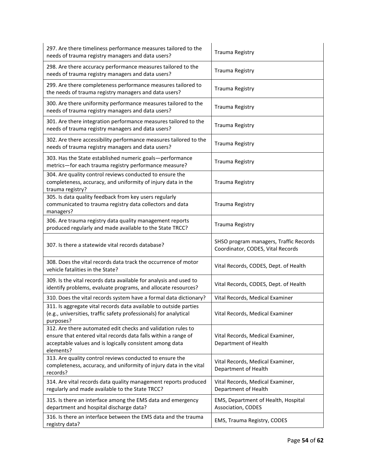| 297. Are there timeliness performance measures tailored to the<br>needs of trauma registry managers and data users?                                                                                     | Trauma Registry                                                             |
|---------------------------------------------------------------------------------------------------------------------------------------------------------------------------------------------------------|-----------------------------------------------------------------------------|
| 298. Are there accuracy performance measures tailored to the<br>needs of trauma registry managers and data users?                                                                                       | Trauma Registry                                                             |
| 299. Are there completeness performance measures tailored to<br>the needs of trauma registry managers and data users?                                                                                   | Trauma Registry                                                             |
| 300. Are there uniformity performance measures tailored to the<br>needs of trauma registry managers and data users?                                                                                     | Trauma Registry                                                             |
| 301. Are there integration performance measures tailored to the<br>needs of trauma registry managers and data users?                                                                                    | Trauma Registry                                                             |
| 302. Are there accessibility performance measures tailored to the<br>needs of trauma registry managers and data users?                                                                                  | Trauma Registry                                                             |
| 303. Has the State established numeric goals-performance<br>metrics-for each trauma registry performance measure?                                                                                       | Trauma Registry                                                             |
| 304. Are quality control reviews conducted to ensure the<br>completeness, accuracy, and uniformity of injury data in the<br>trauma registry?                                                            | Trauma Registry                                                             |
| 305. Is data quality feedback from key users regularly<br>communicated to trauma registry data collectors and data<br>managers?                                                                         | Trauma Registry                                                             |
| 306. Are trauma registry data quality management reports<br>produced regularly and made available to the State TRCC?                                                                                    | <b>Trauma Registry</b>                                                      |
| 307. Is there a statewide vital records database?                                                                                                                                                       | SHSO program managers, Traffic Records<br>Coordinator, CODES, Vital Records |
| 308. Does the vital records data track the occurrence of motor<br>vehicle fatalities in the State?                                                                                                      | Vital Records, CODES, Dept. of Health                                       |
| 309. Is the vital records data available for analysis and used to<br>identify problems, evaluate programs, and allocate resources?                                                                      | Vital Records, CODES, Dept. of Health                                       |
| 310. Does the vital records system have a formal data dictionary?                                                                                                                                       | Vital Records, Medical Examiner                                             |
| 311. Is aggregate vital records data available to outside parties<br>(e.g., universities, traffic safety professionals) for analytical<br>purposes?                                                     | Vital Records, Medical Examiner                                             |
| 312. Are there automated edit checks and validation rules to<br>ensure that entered vital records data falls within a range of<br>acceptable values and is logically consistent among data<br>elements? | Vital Records, Medical Examiner,<br>Department of Health                    |
| 313. Are quality control reviews conducted to ensure the<br>completeness, accuracy, and uniformity of injury data in the vital<br>records?                                                              | Vital Records, Medical Examiner,<br>Department of Health                    |
| 314. Are vital records data quality management reports produced<br>regularly and made available to the State TRCC?                                                                                      | Vital Records, Medical Examiner,<br>Department of Health                    |
| 315. Is there an interface among the EMS data and emergency<br>department and hospital discharge data?                                                                                                  | EMS, Department of Health, Hospital<br>Association, CODES                   |
| 316. Is there an interface between the EMS data and the trauma<br>registry data?                                                                                                                        | EMS, Trauma Registry, CODES                                                 |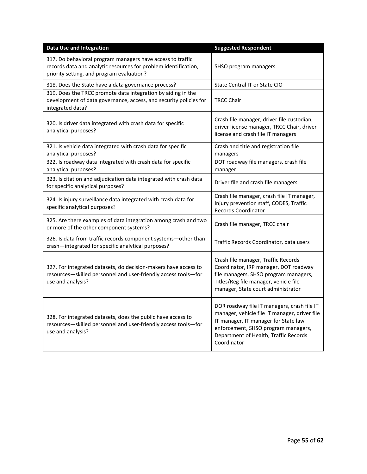| <b>Data Use and Integration</b>                                                                                                                                            | <b>Suggested Respondent</b>                                                                                                                                                                                                         |
|----------------------------------------------------------------------------------------------------------------------------------------------------------------------------|-------------------------------------------------------------------------------------------------------------------------------------------------------------------------------------------------------------------------------------|
| 317. Do behavioral program managers have access to traffic<br>records data and analytic resources for problem identification,<br>priority setting, and program evaluation? | SHSO program managers                                                                                                                                                                                                               |
| 318. Does the State have a data governance process?                                                                                                                        | State Central IT or State CIO                                                                                                                                                                                                       |
| 319. Does the TRCC promote data integration by aiding in the<br>development of data governance, access, and security policies for<br>integrated data?                      | <b>TRCC Chair</b>                                                                                                                                                                                                                   |
| 320. Is driver data integrated with crash data for specific<br>analytical purposes?                                                                                        | Crash file manager, driver file custodian,<br>driver license manager, TRCC Chair, driver<br>license and crash file IT managers                                                                                                      |
| 321. Is vehicle data integrated with crash data for specific<br>analytical purposes?                                                                                       | Crash and title and registration file<br>managers                                                                                                                                                                                   |
| 322. Is roadway data integrated with crash data for specific<br>analytical purposes?                                                                                       | DOT roadway file managers, crash file<br>manager                                                                                                                                                                                    |
| 323. Is citation and adjudication data integrated with crash data<br>for specific analytical purposes?                                                                     | Driver file and crash file managers                                                                                                                                                                                                 |
| 324. Is injury surveillance data integrated with crash data for<br>specific analytical purposes?                                                                           | Crash file manager, crash file IT manager,<br>Injury prevention staff, CODES, Traffic<br><b>Records Coordinator</b>                                                                                                                 |
| 325. Are there examples of data integration among crash and two<br>or more of the other component systems?                                                                 | Crash file manager, TRCC chair                                                                                                                                                                                                      |
| 326. Is data from traffic records component systems-other than<br>crash-integrated for specific analytical purposes?                                                       | Traffic Records Coordinator, data users                                                                                                                                                                                             |
| 327. For integrated datasets, do decision-makers have access to<br>resources-skilled personnel and user-friendly access tools-for<br>use and analysis?                     | Crash file manager, Traffic Records<br>Coordinator, IRP manager, DOT roadway<br>file managers, SHSO program managers,<br>Titles/Reg file manager, vehicle file<br>manager, State court administrator                                |
| 328. For integrated datasets, does the public have access to<br>resources-skilled personnel and user-friendly access tools-for<br>use and analysis?                        | DOR roadway file IT managers, crash file IT<br>manager, vehicle file IT manager, driver file<br>IT manager, IT manager for State law<br>enforcement, SHSO program managers,<br>Department of Health, Traffic Records<br>Coordinator |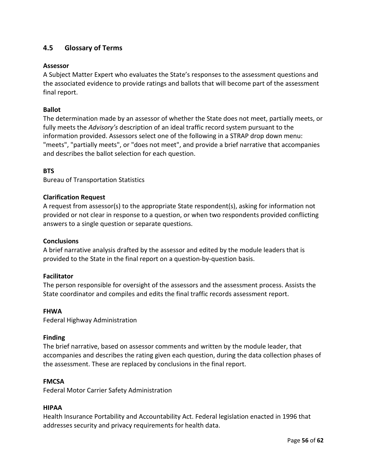# <span id="page-58-0"></span>**4.5 Glossary of Terms**

## **Assessor**

A Subject Matter Expert who evaluates the State's responses to the assessment questions and the associated evidence to provide ratings and ballots that will become part of the assessment final report.

# **Ballot**

The determination made by an assessor of whether the State does not meet, partially meets, or fully meets the *Advisory's* description of an ideal traffic record system pursuant to the information provided. Assessors select one of the following in a STRAP drop down menu: "meets", "partially meets", or "does not meet", and provide a brief narrative that accompanies and describes the ballot selection for each question.

# **BTS**

Bureau of Transportation Statistics

## **Clarification Request**

A request from assessor(s) to the appropriate State respondent(s), asking for information not provided or not clear in response to a question, or when two respondents provided conflicting answers to a single question or separate questions.

## **Conclusions**

A brief narrative analysis drafted by the assessor and edited by the module leaders that is provided to the State in the final report on a question-by-question basis.

## **Facilitator**

The person responsible for oversight of the assessors and the assessment process. Assists the State coordinator and compiles and edits the final traffic records assessment report.

#### **FHWA**

Federal Highway Administration

#### **Finding**

The brief narrative, based on assessor comments and written by the module leader, that accompanies and describes the rating given each question, during the data collection phases of the assessment. These are replaced by conclusions in the final report.

#### **FMCSA**

Federal Motor Carrier Safety Administration

#### **HIPAA**

Health Insurance Portability and Accountability Act. Federal legislation enacted in 1996 that addresses security and privacy requirements for health data.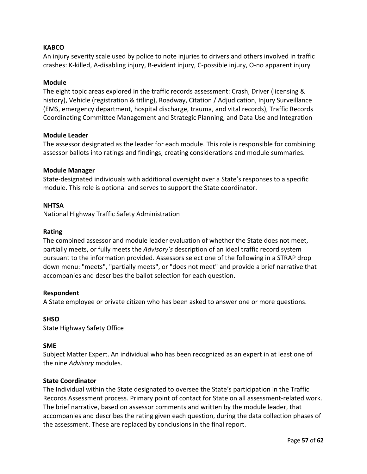# **KABCO**

An injury severity scale used by police to note injuries to drivers and others involved in traffic crashes: K-killed, A-disabling injury, B-evident injury, C-possible injury, O-no apparent injury

#### **Module**

The eight topic areas explored in the traffic records assessment: Crash, Driver (licensing & history), Vehicle (registration & titling), Roadway, Citation / Adjudication, Injury Surveillance (EMS, emergency department, hospital discharge, trauma, and vital records), Traffic Records Coordinating Committee Management and Strategic Planning, and Data Use and Integration

#### **Module Leader**

The assessor designated as the leader for each module. This role is responsible for combining assessor ballots into ratings and findings, creating considerations and module summaries.

#### **Module Manager**

State-designated individuals with additional oversight over a State's responses to a specific module. This role is optional and serves to support the State coordinator.

#### **NHTSA**

National Highway Traffic Safety Administration

#### **Rating**

The combined assessor and module leader evaluation of whether the State does not meet, partially meets, or fully meets the *Advisory's* description of an ideal traffic record system pursuant to the information provided. Assessors select one of the following in a STRAP drop down menu: "meets", "partially meets", or "does not meet" and provide a brief narrative that accompanies and describes the ballot selection for each question.

#### **Respondent**

A State employee or private citizen who has been asked to answer one or more questions.

## **SHSO**

State Highway Safety Office

#### **SME**

Subject Matter Expert. An individual who has been recognized as an expert in at least one of the nine *Advisory* modules.

#### **State Coordinator**

The Individual within the State designated to oversee the State's participation in the Traffic Records Assessment process. Primary point of contact for State on all assessment-related work. The brief narrative, based on assessor comments and written by the module leader, that accompanies and describes the rating given each question, during the data collection phases of the assessment. These are replaced by conclusions in the final report.